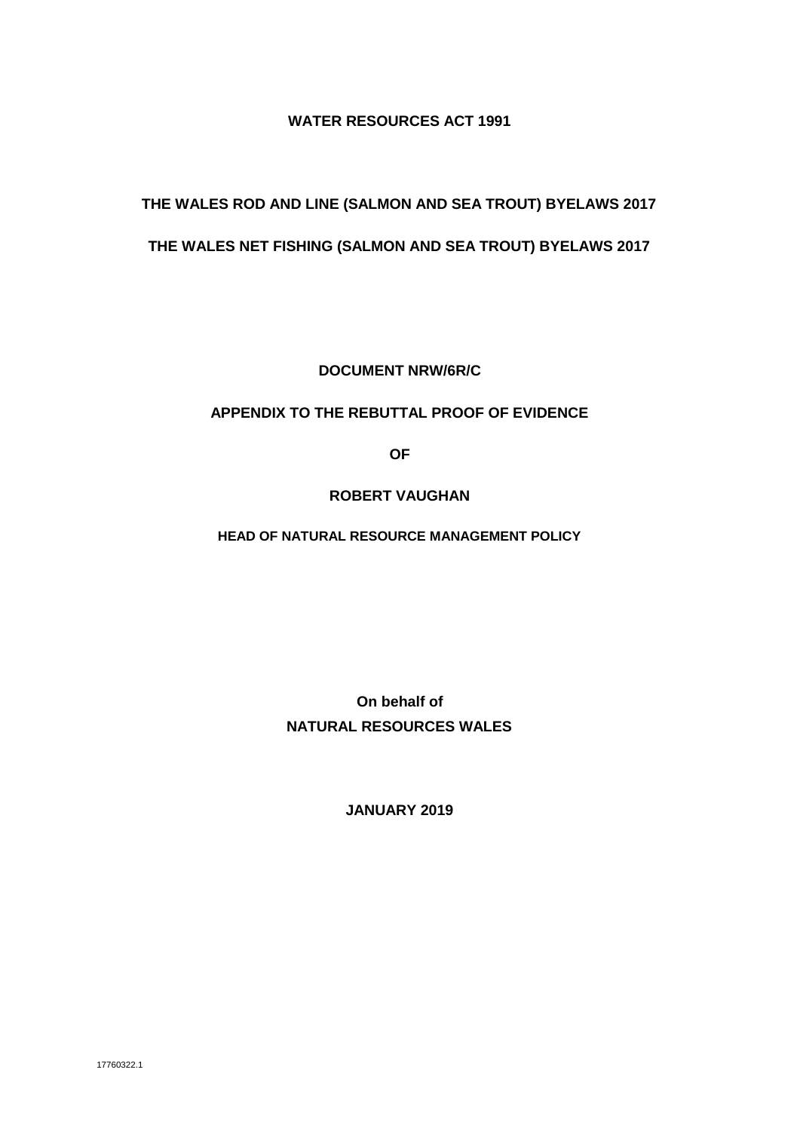#### **WATER RESOURCES ACT 1991**

# **THE WALES ROD AND LINE (SALMON AND SEA TROUT) BYELAWS 2017**

#### **THE WALES NET FISHING (SALMON AND SEA TROUT) BYELAWS 2017**

**DOCUMENT NRW/6R/C**

#### **APPENDIX TO THE REBUTTAL PROOF OF EVIDENCE**

**OF**

#### **ROBERT VAUGHAN**

**HEAD OF NATURAL RESOURCE MANAGEMENT POLICY**

**On behalf of NATURAL RESOURCES WALES**

**JANUARY 2019**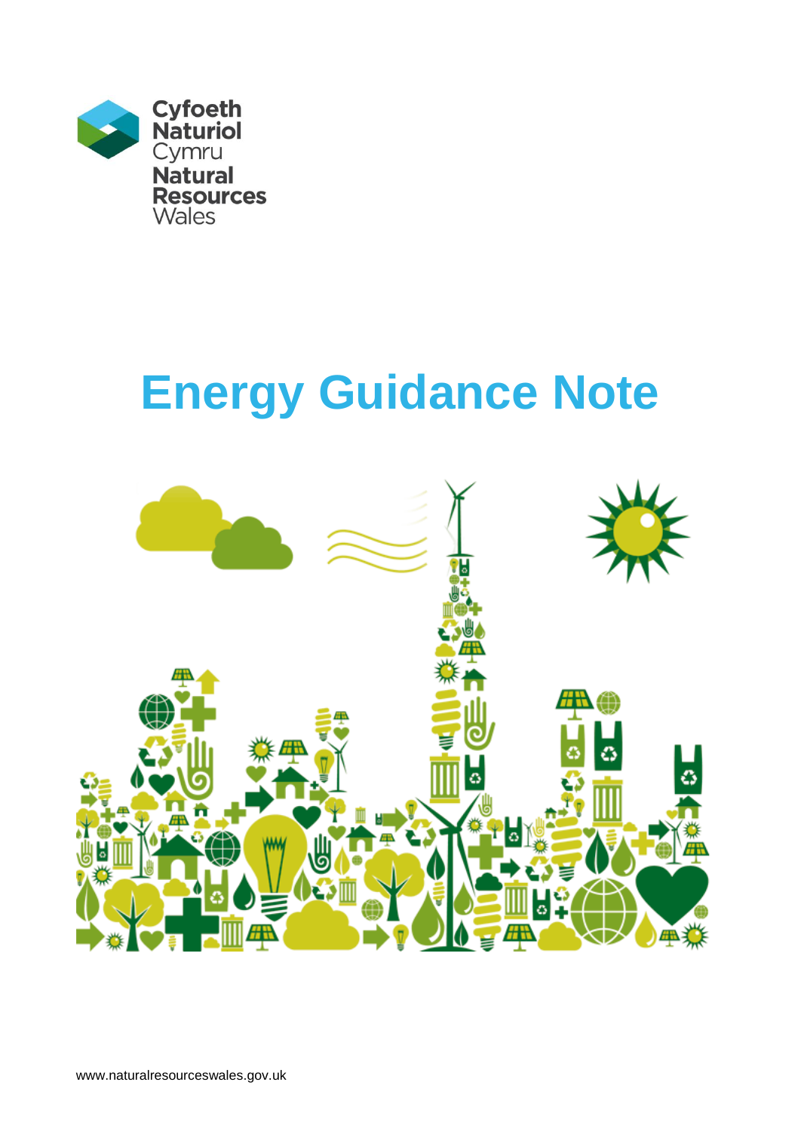

# **Energy Guidance Note**

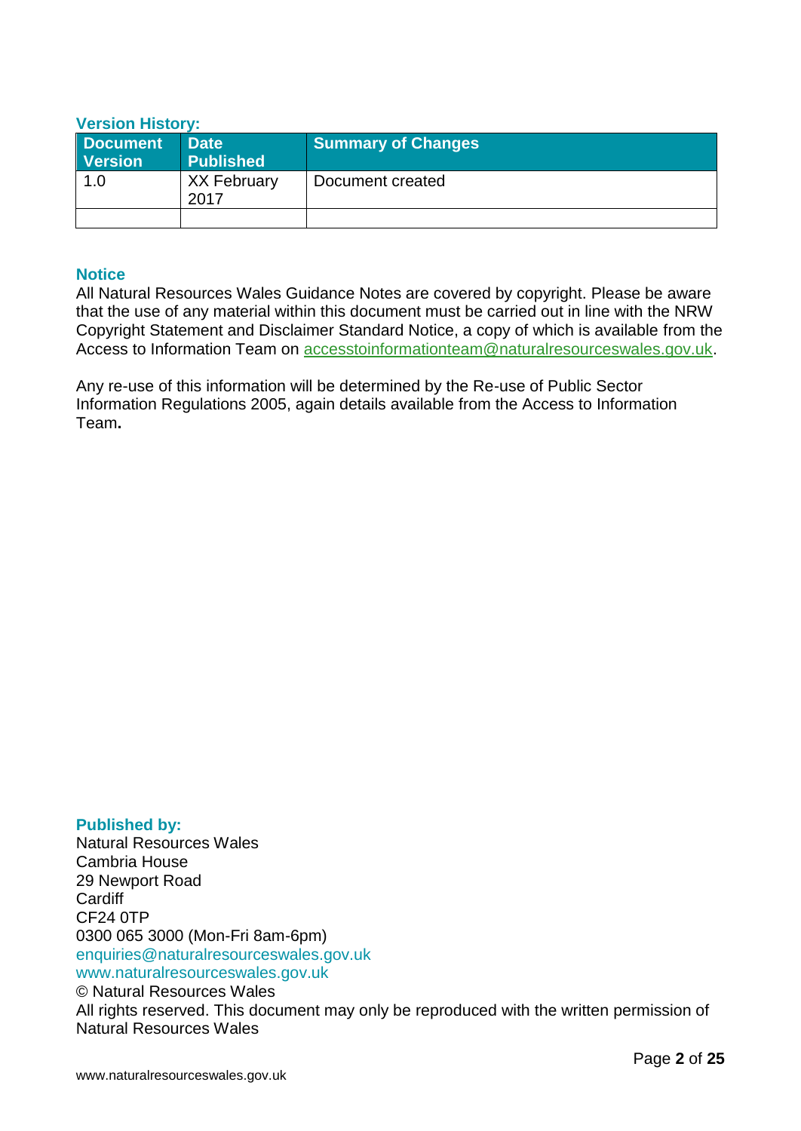#### **Version History:**

| Document<br><b>Version</b> | <b>Date</b><br>Published   | <b>Summary of Changes</b> |
|----------------------------|----------------------------|---------------------------|
| 1.0                        | <b>XX February</b><br>2017 | Document created          |
|                            |                            |                           |

#### **Notice**

All Natural Resources Wales Guidance Notes are covered by copyright. Please be aware that the use of any material within this document must be carried out in line with the NRW Copyright Statement and Disclaimer Standard Notice, a copy of which is available from the Access to Information Team on [accesstoinformationteam@naturalresourceswales.gov.uk.](mailto:accesstoinformationteam@naturalresourceswales.gov.uk)

Any re-use of this information will be determined by the Re-use of Public Sector Information Regulations 2005, again details available from the Access to Information Team**.**

**Published by:** Natural Resources Wales Cambria House 29 Newport Road **Cardiff** CF24 0TP 0300 065 3000 (Mon-Fri 8am-6pm) enquiries@naturalresourceswales.gov.uk www.naturalresourceswales.gov.uk © Natural Resources Wales All rights reserved. This document may only be reproduced with the written permission of

Natural Resources Wales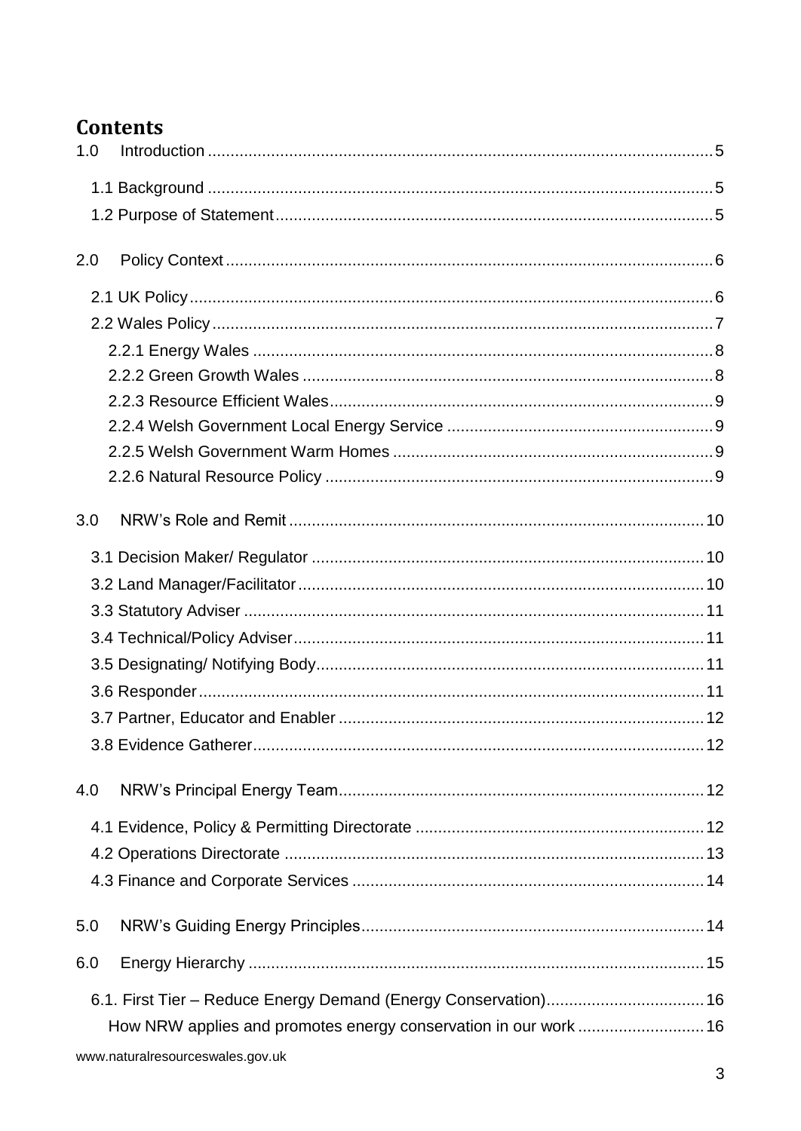# **Contents**

| 1.0 |                                                                  |  |
|-----|------------------------------------------------------------------|--|
|     |                                                                  |  |
|     |                                                                  |  |
|     |                                                                  |  |
| 2.0 |                                                                  |  |
|     |                                                                  |  |
|     |                                                                  |  |
|     |                                                                  |  |
|     |                                                                  |  |
|     |                                                                  |  |
|     |                                                                  |  |
|     |                                                                  |  |
|     |                                                                  |  |
| 3.0 |                                                                  |  |
|     |                                                                  |  |
|     |                                                                  |  |
|     |                                                                  |  |
|     |                                                                  |  |
|     |                                                                  |  |
|     |                                                                  |  |
|     |                                                                  |  |
|     |                                                                  |  |
| 4.0 |                                                                  |  |
|     |                                                                  |  |
|     |                                                                  |  |
|     |                                                                  |  |
| 5.0 |                                                                  |  |
| 6.0 |                                                                  |  |
|     |                                                                  |  |
|     | How NRW applies and promotes energy conservation in our work  16 |  |
|     | www.naturalresourceswales.gov.uk                                 |  |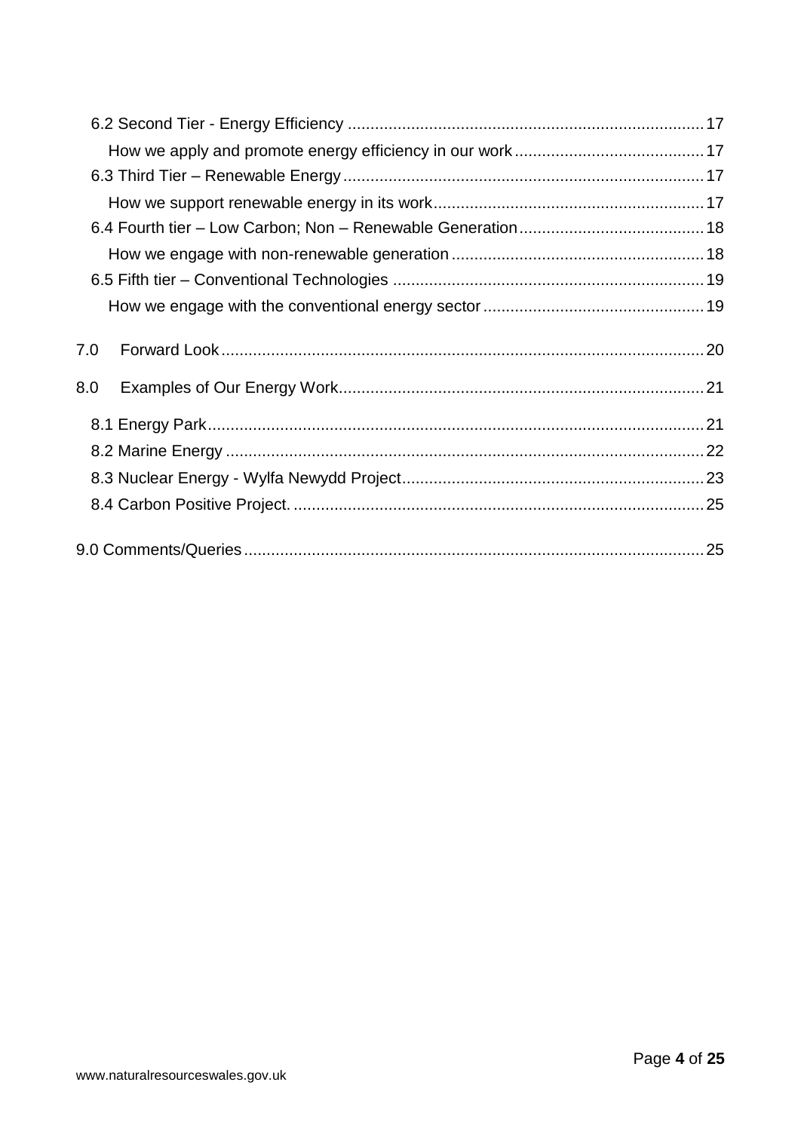| 7.0 |  |
|-----|--|
| 8.0 |  |
|     |  |
|     |  |
|     |  |
|     |  |
|     |  |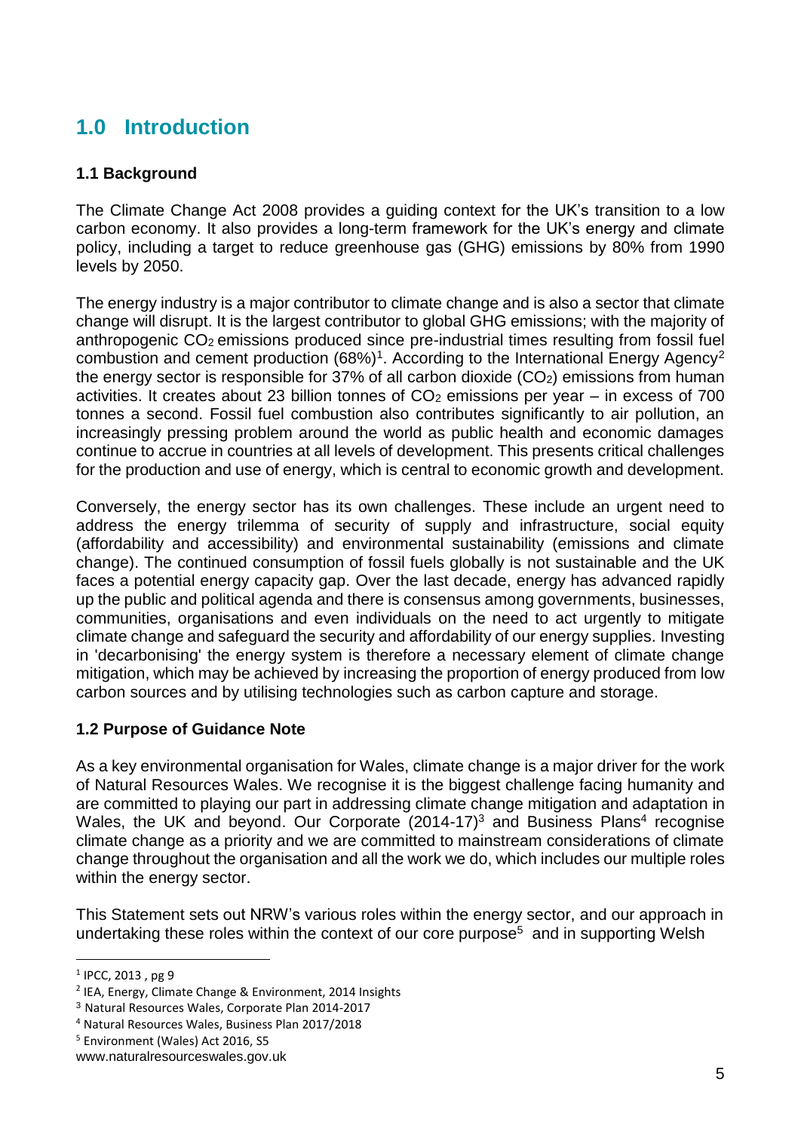# <span id="page-5-0"></span>**1.0 Introduction**

# <span id="page-5-1"></span>**1.1 Background**

The Climate Change Act 2008 provides a guiding context for the UK's transition to a low carbon economy. It also provides a long-term framework for the UK's energy and climate policy, including a target to reduce greenhouse gas (GHG) emissions by 80% from 1990 levels by 2050.

The energy industry is a major contributor to climate change and is also a sector that climate change will disrupt. It is the largest contributor to global GHG emissions; with the majority of anthropogenic CO<sub>2</sub> emissions produced since pre-industrial times resulting from fossil fuel combustion and cement production  $(68%)$ <sup>1</sup>. According to the International Energy Agency<sup>2</sup> the energy sector is responsible for 37% of all carbon dioxide  $(CO<sub>2</sub>)$  emissions from human activities. It creates about 23 billion tonnes of  $CO<sub>2</sub>$  emissions per year – in excess of 700 tonnes a second. Fossil fuel combustion also contributes significantly to air pollution, an increasingly pressing problem around the world as public health and economic damages continue to accrue in countries at all levels of development. This presents critical challenges for the production and use of energy, which is central to economic growth and development.

Conversely, the energy sector has its own challenges. These include an urgent need to address the energy trilemma of security of supply and infrastructure, social equity (affordability and accessibility) and environmental sustainability (emissions and climate change). The continued consumption of fossil fuels globally is not sustainable and the UK faces a potential energy capacity gap. Over the last decade, energy has advanced rapidly up the public and political agenda and there is consensus among governments, businesses, communities, organisations and even individuals on the need to act urgently to mitigate climate change and safeguard the security and affordability of our energy supplies. Investing in 'decarbonising' the energy system is therefore a necessary element of climate change mitigation, which may be achieved by increasing the proportion of energy produced from low carbon sources and by utilising technologies such as carbon capture and storage.

#### <span id="page-5-2"></span>**1.2 Purpose of Guidance Note**

As a key environmental organisation for Wales, climate change is a major driver for the work of Natural Resources Wales. We recognise it is the biggest challenge facing humanity and are committed to playing our part in addressing climate change mitigation and adaptation in Wales, the UK and beyond. Our Corporate  $(2014-17)^3$  and Business Plans<sup>4</sup> recognise climate change as a priority and we are committed to mainstream considerations of climate change throughout the organisation and all the work we do, which includes our multiple roles within the energy sector.

This Statement sets out NRW's various roles within the energy sector, and our approach in undertaking these roles within the context of our core purpose<sup>5</sup> and in supporting Welsh

<sup>1</sup> IPCC, 2013 , pg 9

<sup>2</sup> IEA, Energy, Climate Change & Environment, 2014 Insights

<sup>3</sup> Natural Resources Wales, Corporate Plan 2014-2017

<sup>4</sup> Natural Resources Wales, Business Plan 2017/2018

<sup>5</sup> Environment (Wales) Act 2016, S5

www.naturalresourceswales.gov.uk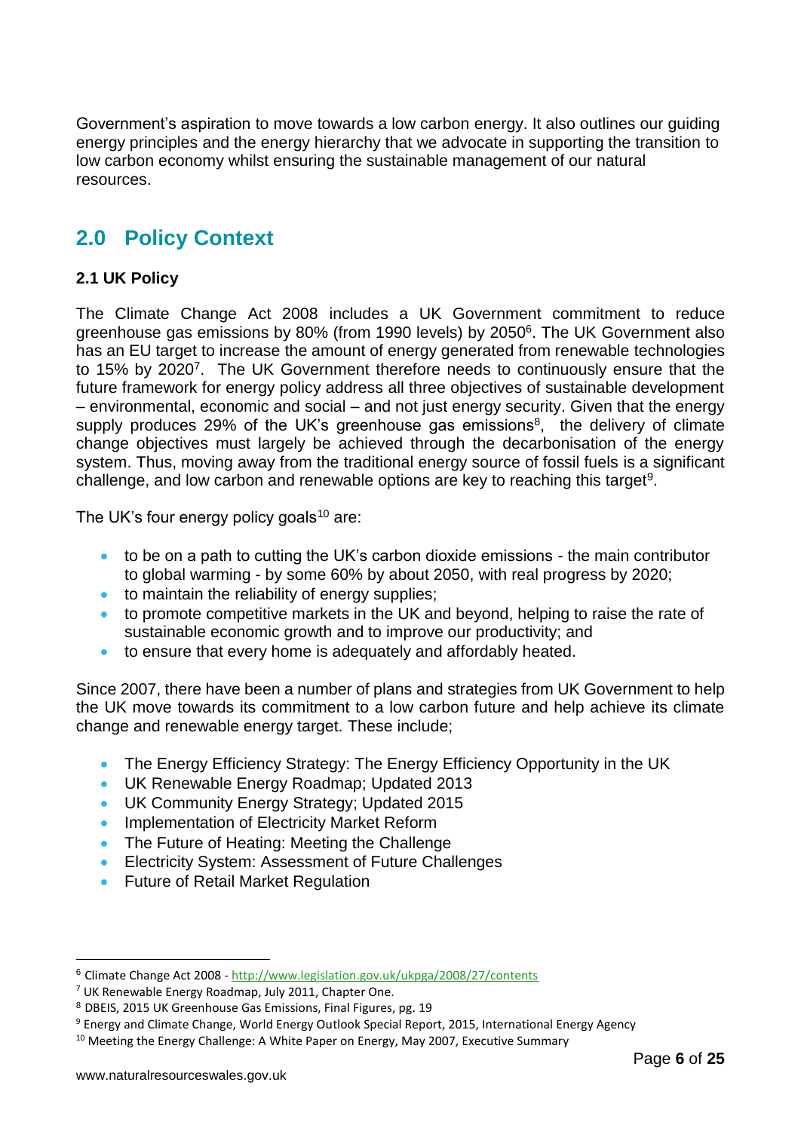Government's aspiration to move towards a low carbon energy. It also outlines our guiding energy principles and the energy hierarchy that we advocate in supporting the transition to low carbon economy whilst ensuring the sustainable management of our natural resources.

# <span id="page-6-0"></span>**2.0 Policy Context**

# <span id="page-6-1"></span>**2.1 UK Policy**

The Climate Change Act 2008 includes a UK Government commitment to reduce greenhouse gas emissions by 80% (from 1990 levels) by 2050<sup>6</sup>. The UK Government also has an EU target to increase the amount of energy generated from renewable technologies to 15% by 2020<sup>7</sup>. The UK Government therefore needs to continuously ensure that the future framework for energy policy address all three objectives of sustainable development – environmental, economic and social – and not just energy security. Given that the energy supply produces 29% of the UK's greenhouse gas emissions<sup>8</sup>, the delivery of climate change objectives must largely be achieved through the decarbonisation of the energy system. Thus, moving away from the traditional energy source of fossil fuels is a significant challenge, and low carbon and renewable options are key to reaching this target<sup>9</sup>.

The UK's four energy policy goals $10$  are:

- to be on a path to cutting the UK's carbon dioxide emissions the main contributor to global warming - by some 60% by about 2050, with real progress by 2020;
- to maintain the reliability of energy supplies;
- to promote competitive markets in the UK and beyond, helping to raise the rate of sustainable economic growth and to improve our productivity; and
- to ensure that every home is adequately and affordably heated.

Since 2007, there have been a number of plans and strategies from UK Government to help the UK move towards its commitment to a low carbon future and help achieve its climate change and renewable energy target. These include;

- The Energy Efficiency Strategy: The Energy Efficiency Opportunity in the UK
- UK Renewable Energy Roadmap; Updated 2013
- UK Community Energy Strategy; Updated 2015
- Implementation of Electricity Market Reform
- The Future of Heating: Meeting the Challenge
- Electricity System: Assessment of Future Challenges
- Future of Retail Market Regulation

<sup>6</sup> Climate Change Act 2008 - <http://www.legislation.gov.uk/ukpga/2008/27/contents>

<sup>7</sup> UK Renewable Energy Roadmap, July 2011, Chapter One.

<sup>8</sup> DBEIS, 2015 UK Greenhouse Gas Emissions, Final Figures, pg. 19

<sup>9</sup> Energy and Climate Change, World Energy Outlook Special Report, 2015, International Energy Agency

 $10$  Meeting the Energy Challenge: A White Paper on Energy, May 2007, Executive Summary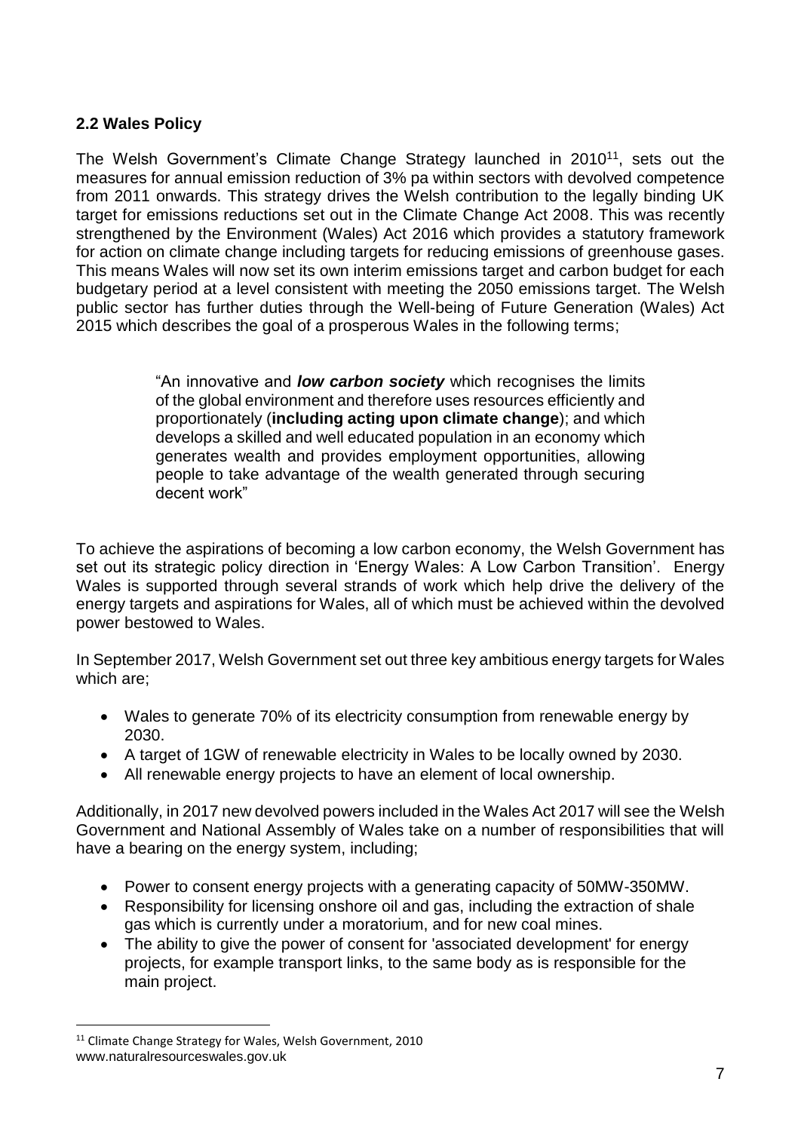# <span id="page-7-0"></span>**2.2 Wales Policy**

The Welsh Government's Climate Change Strategy launched in 2010<sup>11</sup>, sets out the measures for annual emission reduction of 3% pa within sectors with devolved competence from 2011 onwards. This strategy drives the Welsh contribution to the legally binding UK target for emissions reductions set out in the Climate Change Act 2008. This was recently strengthened by the Environment (Wales) Act 2016 which provides a statutory framework for action on climate change including targets for reducing emissions of greenhouse gases. This means Wales will now set its own interim emissions target and carbon budget for each budgetary period at a level consistent with meeting the 2050 emissions target. The Welsh public sector has further duties through the Well-being of Future Generation (Wales) Act 2015 which describes the goal of a prosperous Wales in the following terms;

> "An innovative and *low carbon society* which recognises the limits of the global environment and therefore uses resources efficiently and proportionately (**including acting upon climate change**); and which develops a skilled and well educated population in an economy which generates wealth and provides employment opportunities, allowing people to take advantage of the wealth generated through securing decent work"

To achieve the aspirations of becoming a low carbon economy, the Welsh Government has set out its strategic policy direction in 'Energy Wales: A Low Carbon Transition'. Energy Wales is supported through several strands of work which help drive the delivery of the energy targets and aspirations for Wales, all of which must be achieved within the devolved power bestowed to Wales.

In September 2017, Welsh Government set out three key ambitious energy targets for Wales which are;

- Wales to generate 70% of its electricity consumption from renewable energy by 2030.
- A target of 1GW of renewable electricity in Wales to be locally owned by 2030.
- All renewable energy projects to have an element of local ownership.

Additionally, in 2017 new devolved powers included in the Wales Act 2017 will see the Welsh Government and National Assembly of Wales take on a number of responsibilities that will have a bearing on the energy system, including;

- Power to consent energy projects with a generating capacity of 50MW-350MW.
- Responsibility for licensing onshore oil and gas, including the extraction of shale gas which is currently under a moratorium, and for new coal mines.
- The ability to give the power of consent for 'associated development' for energy projects, for example transport links, to the same body as is responsible for the main project.

www.naturalresourceswales.gov.uk <sup>11</sup> Climate Change Strategy for Wales, Welsh Government, 2010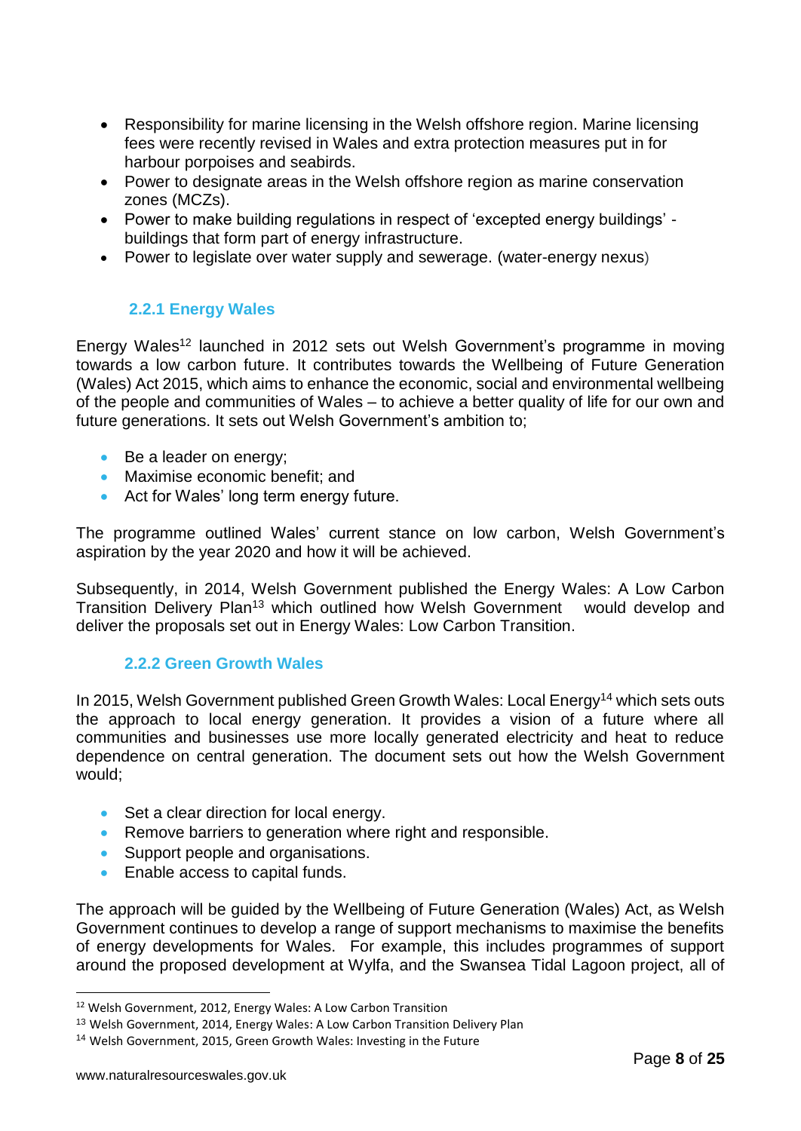- Responsibility for marine licensing in the Welsh offshore region. Marine licensing fees were recently revised in Wales and extra protection measures put in for harbour porpoises and seabirds.
- Power to designate areas in the Welsh offshore region as marine conservation zones (MCZs).
- Power to make building regulations in respect of 'excepted energy buildings' buildings that form part of energy infrastructure.
- Power to legislate over water supply and sewerage. (water-energy nexus)

# <span id="page-8-0"></span>**2.2.1 Energy Wales**

Energy Wales<sup>12</sup> launched in 2012 sets out Welsh Government's programme in moving towards a low carbon future. It contributes towards the Wellbeing of Future Generation (Wales) Act 2015, which aims to enhance the economic, social and environmental wellbeing of the people and communities of Wales – to achieve a better quality of life for our own and future generations. It sets out Welsh Government's ambition to;

- Be a leader on energy;
- Maximise economic benefit; and
- Act for Wales' long term energy future.

The programme outlined Wales' current stance on low carbon, Welsh Government's aspiration by the year 2020 and how it will be achieved.

Subsequently, in 2014, Welsh Government published the Energy Wales: A Low Carbon Transition Delivery Plan<sup>13</sup> which outlined how Welsh Government would develop and deliver the proposals set out in Energy Wales: Low Carbon Transition.

#### **2.2.2 Green Growth Wales**

<span id="page-8-1"></span>In 2015, Welsh Government published Green Growth Wales: Local Energy<sup>14</sup> which sets outs the approach to local energy generation. It provides a vision of a future where all communities and businesses use more locally generated electricity and heat to reduce dependence on central generation. The document sets out how the Welsh Government would;

- Set a clear direction for local energy.
- Remove barriers to generation where right and responsible.
- Support people and organisations.
- Enable access to capital funds.

The approach will be guided by the Wellbeing of Future Generation (Wales) Act, as Welsh Government continues to develop a range of support mechanisms to maximise the benefits of energy developments for Wales. For example, this includes programmes of support around the proposed development at Wylfa, and the Swansea Tidal Lagoon project, all of

<sup>&</sup>lt;sup>12</sup> Welsh Government, 2012, Energy Wales: A Low Carbon Transition

<sup>&</sup>lt;sup>13</sup> Welsh Government, 2014, Energy Wales: A Low Carbon Transition Delivery Plan

<sup>14</sup> Welsh Government, 2015, Green Growth Wales: Investing in the Future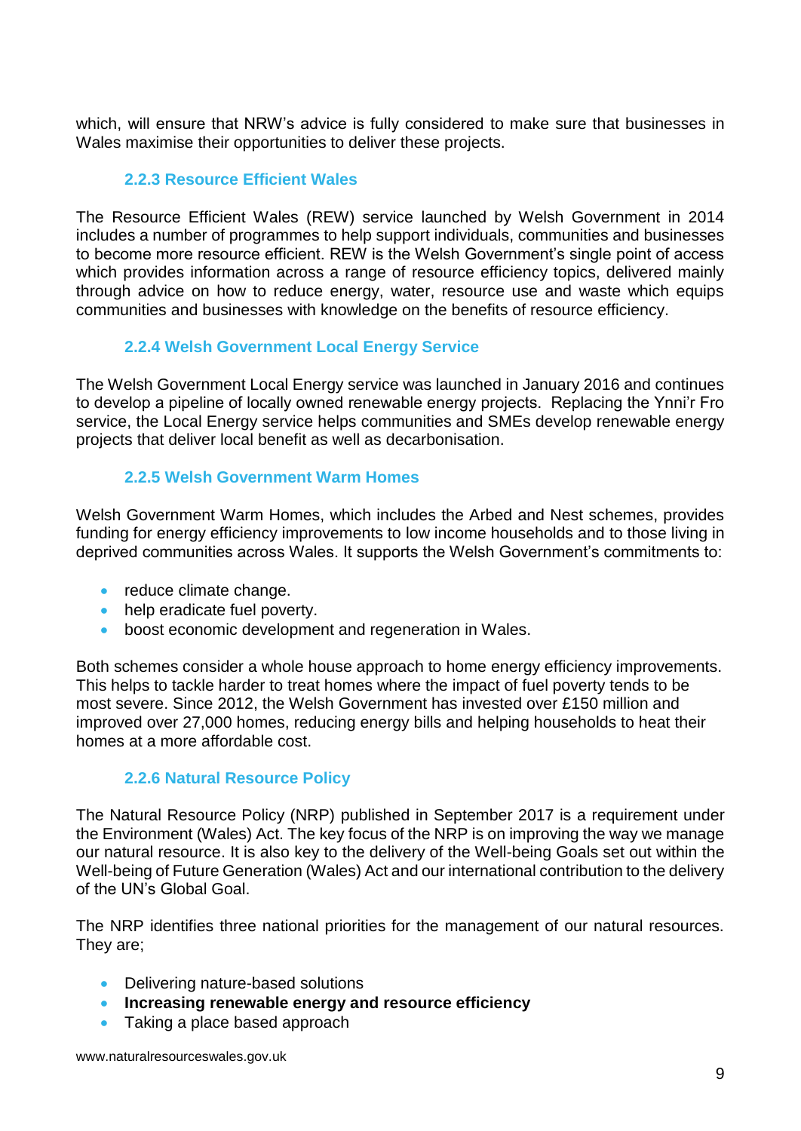which, will ensure that NRW's advice is fully considered to make sure that businesses in Wales maximise their opportunities to deliver these projects.

# **2.2.3 Resource Efficient Wales**

<span id="page-9-0"></span>The Resource Efficient Wales (REW) service launched by Welsh Government in 2014 includes a number of programmes to help support individuals, communities and businesses to become more resource efficient. REW is the Welsh Government's single point of access which provides information across a range of resource efficiency topics, delivered mainly through advice on how to reduce energy, water, resource use and waste which equips communities and businesses with knowledge on the benefits of resource efficiency.

# **2.2.4 Welsh Government Local Energy Service**

<span id="page-9-1"></span>The Welsh Government Local Energy service was launched in January 2016 and continues to develop a pipeline of locally owned renewable energy projects. Replacing the Ynni'r Fro service, the Local Energy service helps communities and SMEs develop renewable energy projects that deliver local benefit as well as decarbonisation.

## **2.2.5 Welsh Government Warm Homes**

<span id="page-9-2"></span>Welsh Government Warm Homes, which includes the Arbed and Nest schemes, provides funding for energy efficiency improvements to low income households and to those living in deprived communities across Wales. It supports the Welsh Government's commitments to:

- reduce climate change.
- help eradicate fuel poverty.
- boost economic development and regeneration in Wales.

Both schemes consider a whole house approach to home energy efficiency improvements. This helps to tackle harder to treat homes where the impact of fuel poverty tends to be most severe. Since 2012, the Welsh Government has invested over £150 million and improved over 27,000 homes, reducing energy bills and helping households to heat their homes at a more affordable cost.

#### **2.2.6 Natural Resource Policy**

<span id="page-9-3"></span>The Natural Resource Policy (NRP) published in September 2017 is a requirement under the Environment (Wales) Act. The key focus of the NRP is on improving the way we manage our natural resource. It is also key to the delivery of the Well-being Goals set out within the Well-being of Future Generation (Wales) Act and our international contribution to the delivery of the UN's Global Goal.

The NRP identifies three national priorities for the management of our natural resources. They are;

- Delivering nature-based solutions
- **Increasing renewable energy and resource efficiency**
- Taking a place based approach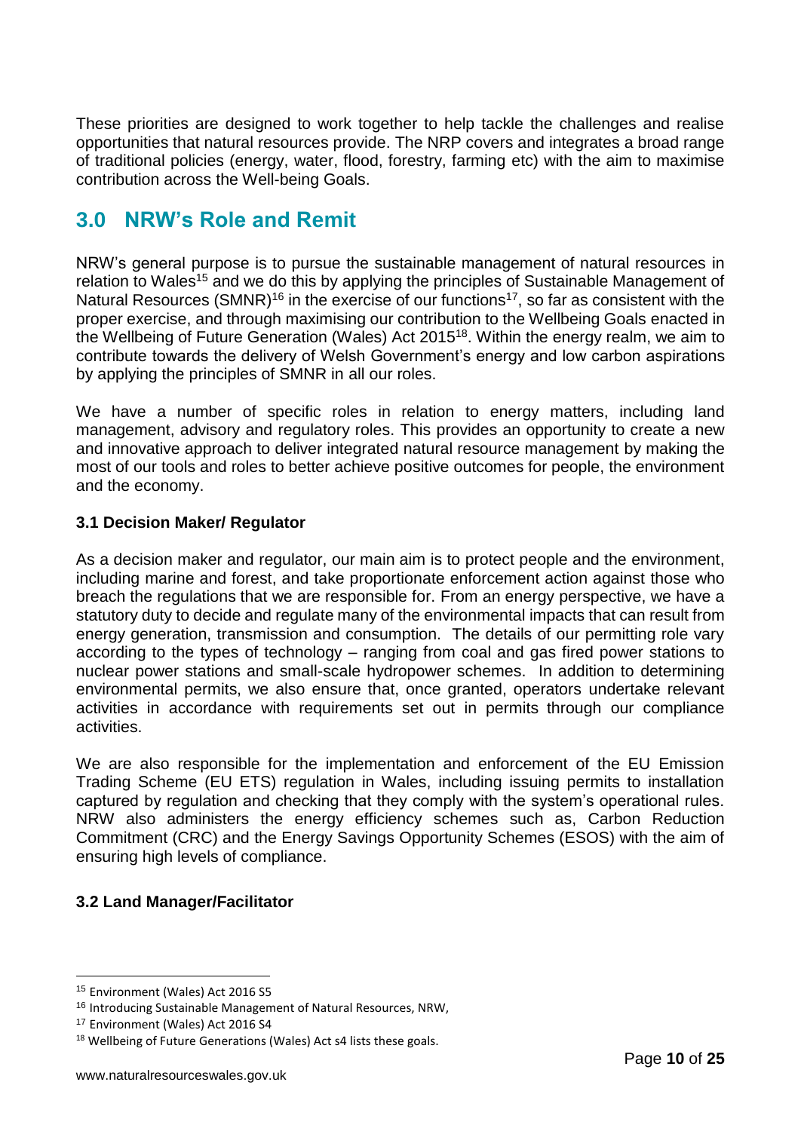These priorities are designed to work together to help tackle the challenges and realise opportunities that natural resources provide. The NRP covers and integrates a broad range of traditional policies (energy, water, flood, forestry, farming etc) with the aim to maximise contribution across the Well-being Goals.

# <span id="page-10-0"></span>**3.0 NRW's Role and Remit**

NRW's general purpose is to pursue the sustainable management of natural resources in relation to Wales<sup>15</sup> and we do this by applying the principles of Sustainable Management of Natural Resources (SMNR)<sup>16</sup> in the exercise of our functions<sup>17</sup>, so far as consistent with the proper exercise, and through maximising our contribution to the Wellbeing Goals enacted in the Wellbeing of Future Generation (Wales) Act 2015<sup>18</sup>. Within the energy realm, we aim to contribute towards the delivery of Welsh Government's energy and low carbon aspirations by applying the principles of SMNR in all our roles.

We have a number of specific roles in relation to energy matters, including land management, advisory and regulatory roles. This provides an opportunity to create a new and innovative approach to deliver integrated natural resource management by making the most of our tools and roles to better achieve positive outcomes for people, the environment and the economy.

## <span id="page-10-1"></span>**3.1 Decision Maker/ Regulator**

As a decision maker and regulator, our main aim is to protect people and the environment, including marine and forest, and take proportionate enforcement action against those who breach the regulations that we are responsible for. From an energy perspective, we have a statutory duty to decide and regulate many of the environmental impacts that can result from energy generation, transmission and consumption. The details of our permitting role vary according to the types of technology – ranging from coal and gas fired power stations to nuclear power stations and small-scale hydropower schemes. In addition to determining environmental permits, we also ensure that, once granted, operators undertake relevant activities in accordance with requirements set out in permits through our compliance activities.

We are also responsible for the implementation and enforcement of the EU Emission Trading Scheme (EU ETS) regulation in Wales, including issuing permits to installation captured by regulation and checking that they comply with the system's operational rules. NRW also administers the energy efficiency schemes such as, Carbon Reduction Commitment (CRC) and the Energy Savings Opportunity Schemes (ESOS) with the aim of ensuring high levels of compliance.

# <span id="page-10-2"></span>**3.2 Land Manager/Facilitator**

<u>.</u>

<sup>15</sup> Environment (Wales) Act 2016 S5

<sup>16</sup> Introducing Sustainable Management of Natural Resources, NRW,

<sup>&</sup>lt;sup>17</sup> Environment (Wales) Act 2016 S4

<sup>&</sup>lt;sup>18</sup> Wellbeing of Future Generations (Wales) Act s4 lists these goals.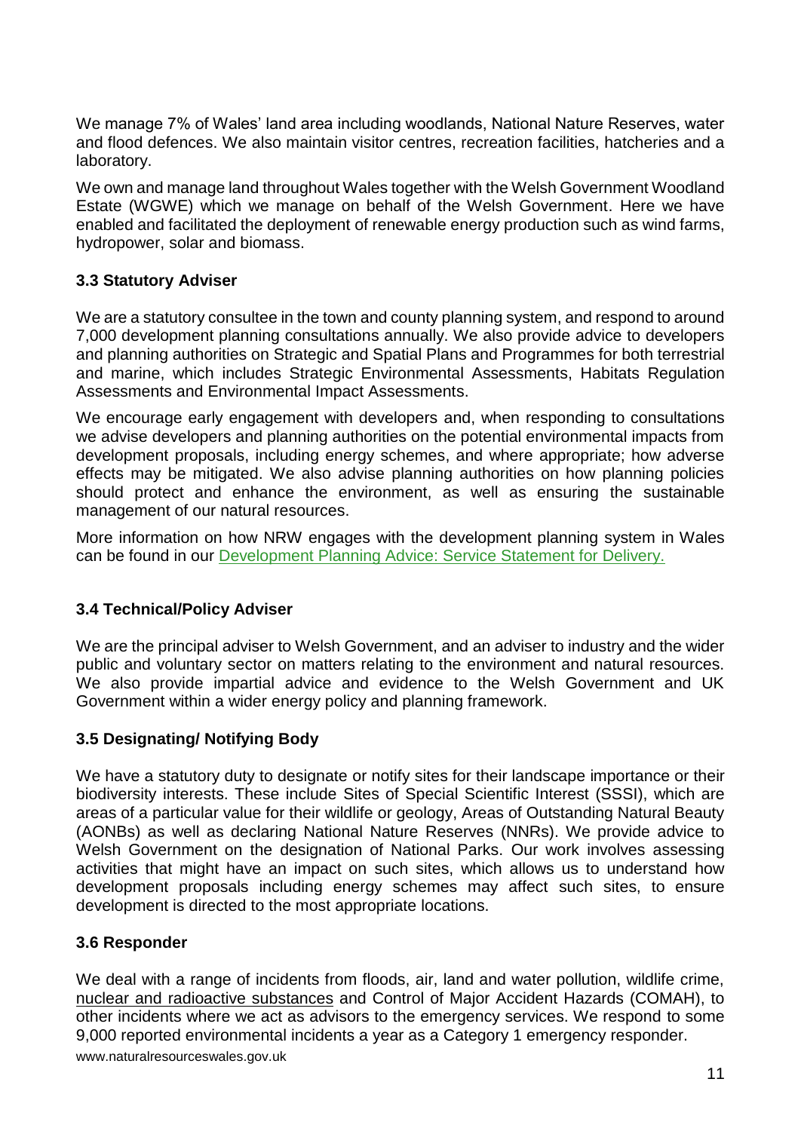We manage 7% of Wales' land area including woodlands, National Nature Reserves, water and flood defences. We also maintain visitor centres, recreation facilities, hatcheries and a laboratory.

We own and manage land throughout Wales together with the Welsh Government Woodland Estate (WGWE) which we manage on behalf of the Welsh Government. Here we have enabled and facilitated the deployment of renewable energy production such as wind farms, hydropower, solar and biomass.

# <span id="page-11-0"></span>**3.3 Statutory Adviser**

We are a statutory consultee in the town and county planning system, and respond to around 7,000 development planning consultations annually. We also provide advice to developers and planning authorities on Strategic and Spatial Plans and Programmes for both terrestrial and marine, which includes Strategic Environmental Assessments, Habitats Regulation Assessments and Environmental Impact Assessments.

We encourage early engagement with developers and, when responding to consultations we advise developers and planning authorities on the potential environmental impacts from development proposals, including energy schemes, and where appropriate; how adverse effects may be mitigated. We also advise planning authorities on how planning policies should protect and enhance the environment, as well as ensuring the sustainable management of our natural resources.

More information on how NRW engages with the development planning system in Wales can be found in our [Development Planning Advice: Service Statement for Delivery.](https://naturalresources.wales/media/3127/development-planning-advice-our-service-statement-for-delivery.pdf)

# <span id="page-11-1"></span>**3.4 Technical/Policy Adviser**

We are the principal adviser to Welsh Government, and an adviser to industry and the wider public and voluntary sector on matters relating to the environment and natural resources. We also provide impartial advice and evidence to the Welsh Government and UK Government within a wider energy policy and planning framework.

# <span id="page-11-2"></span>**3.5 Designating/ Notifying Body**

We have a statutory duty to designate or notify sites for their landscape importance or their biodiversity interests. These include Sites of Special Scientific Interest (SSSI), which are areas of a particular value for their wildlife or geology, Areas of Outstanding Natural Beauty (AONBs) as well as declaring National Nature Reserves (NNRs). We provide advice to Welsh Government on the designation of National Parks. Our work involves assessing activities that might have an impact on such sites, which allows us to understand how development proposals including energy schemes may affect such sites, to ensure development is directed to the most appropriate locations.

#### <span id="page-11-3"></span>**3.6 Responder**

www.naturalresourceswales.gov.uk We deal with a range of incidents from floods, air, land and water pollution, wildlife crime, nuclear and radioactive substances and Control of Major Accident Hazards (COMAH), to other incidents where we act as advisors to the emergency services. We respond to some 9,000 reported environmental incidents a year as a Category 1 emergency responder.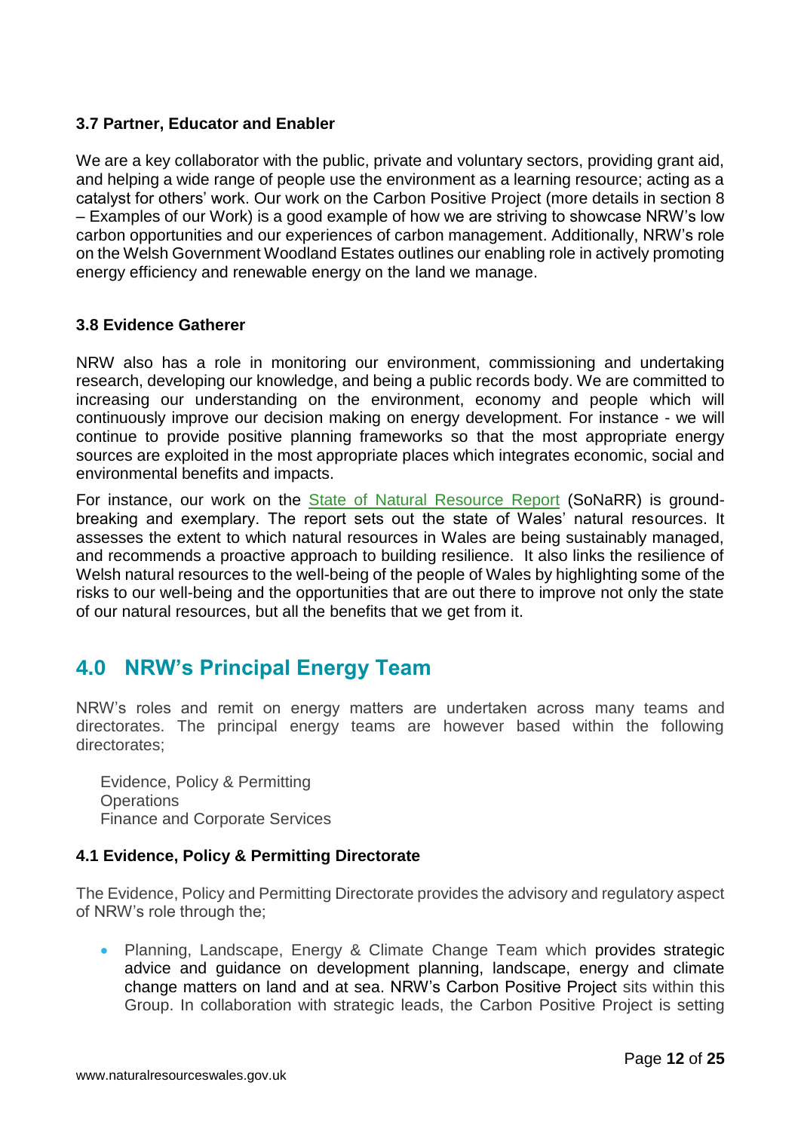#### <span id="page-12-0"></span>**3.7 Partner, Educator and Enabler**

We are a key collaborator with the public, private and voluntary sectors, providing grant aid, and helping a wide range of people use the environment as a learning resource; acting as a catalyst for others' work. Our work on the Carbon Positive Project (more details in section 8 – Examples of our Work) is a good example of how we are striving to showcase NRW's low carbon opportunities and our experiences of carbon management. Additionally, NRW's role on the Welsh Government Woodland Estates outlines our enabling role in actively promoting energy efficiency and renewable energy on the land we manage.

#### <span id="page-12-1"></span>**3.8 Evidence Gatherer**

NRW also has a role in monitoring our environment, commissioning and undertaking research, developing our knowledge, and being a public records body. We are committed to increasing our understanding on the environment, economy and people which will continuously improve our decision making on energy development. For instance - we will continue to provide positive planning frameworks so that the most appropriate energy sources are exploited in the most appropriate places which integrates economic, social and environmental benefits and impacts.

For instance, our work on the [State of Natural Resource Report](https://naturalresources.wales/evidence-and-data/research-and-reports/the-state-of-natural-resources-report-assessment-of-the-sustainable-management-of-natural-resources/?lang=en) (SoNaRR) is groundbreaking and exemplary. The report sets out the state of Wales' natural resources. It assesses the extent to which natural resources in Wales are being sustainably managed, and recommends a proactive approach to building resilience. It also links the resilience of Welsh natural resources to the well-being of the people of Wales by highlighting some of the risks to our well-being and the opportunities that are out there to improve not only the state of our natural resources, but all the benefits that we get from it.

# <span id="page-12-2"></span>**4.0 NRW's Principal Energy Team**

NRW's roles and remit on energy matters are undertaken across many teams and directorates. The principal energy teams are however based within the following directorates;

Evidence, Policy & Permitting **Operations** Finance and Corporate Services

#### <span id="page-12-3"></span>**4.1 Evidence, Policy & Permitting Directorate**

The Evidence, Policy and Permitting Directorate provides the advisory and regulatory aspect of NRW's role through the;

• Planning, Landscape, Energy & Climate Change Team which provides strategic advice and guidance on development planning, landscape, energy and climate change matters on land and at sea. NRW's Carbon Positive Project sits within this Group. In collaboration with strategic leads, the Carbon Positive Project is setting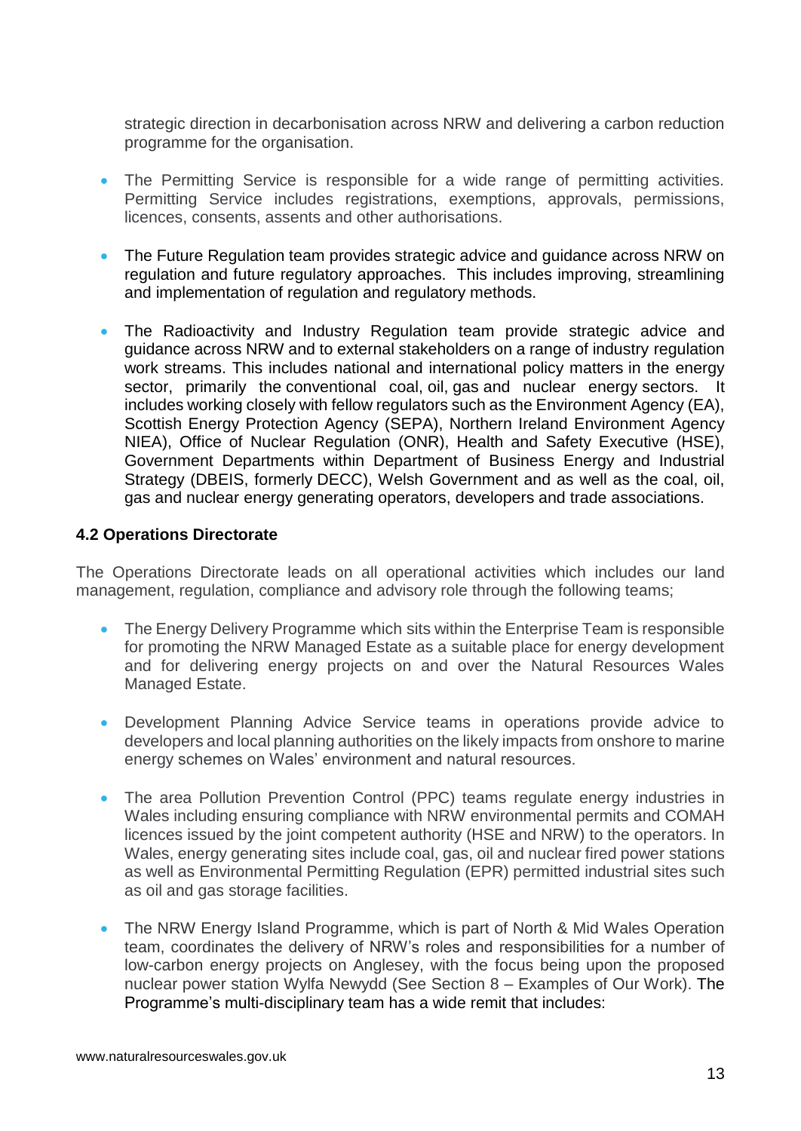strategic direction in decarbonisation across NRW and delivering a carbon reduction programme for the organisation.

- The Permitting Service is responsible for a wide range of permitting activities. Permitting Service includes registrations, exemptions, approvals, permissions, licences, consents, assents and other authorisations.
- The Future Regulation team provides strategic advice and guidance across NRW on regulation and future regulatory approaches. This includes improving, streamlining and implementation of regulation and regulatory methods.
- The Radioactivity and Industry Regulation team provide strategic advice and guidance across NRW and to external stakeholders on a range of industry regulation work streams. This includes national and international policy matters in the energy sector, primarily the conventional coal, oil, gas and nuclear energy sectors. It includes working closely with fellow regulators such as the Environment Agency (EA), Scottish Energy Protection Agency (SEPA), Northern Ireland Environment Agency NIEA), Office of Nuclear Regulation (ONR), Health and Safety Executive (HSE), Government Departments within Department of Business Energy and Industrial Strategy (DBEIS, formerly DECC), Welsh Government and as well as the coal, oil, gas and nuclear energy generating operators, developers and trade associations.

#### <span id="page-13-0"></span>**4.2 Operations Directorate**

The Operations Directorate leads on all operational activities which includes our land management, regulation, compliance and advisory role through the following teams;

- The Energy Delivery Programme which sits within the Enterprise Team is responsible for promoting the NRW Managed Estate as a suitable place for energy development and for delivering energy projects on and over the Natural Resources Wales Managed Estate.
- Development Planning Advice Service teams in operations provide advice to developers and local planning authorities on the likely impacts from onshore to marine energy schemes on Wales' environment and natural resources.
- The area Pollution Prevention Control (PPC) teams regulate energy industries in Wales including ensuring compliance with NRW environmental permits and COMAH licences issued by the joint competent authority (HSE and NRW) to the operators. In Wales, energy generating sites include coal, gas, oil and nuclear fired power stations as well as Environmental Permitting Regulation (EPR) permitted industrial sites such as oil and gas storage facilities.
- The NRW Energy Island Programme, which is part of North & Mid Wales Operation team, coordinates the delivery of NRW's roles and responsibilities for a number of low-carbon energy projects on Anglesey, with the focus being upon the proposed nuclear power station Wylfa Newydd (See Section 8 – Examples of Our Work). The Programme's multi-disciplinary team has a wide remit that includes: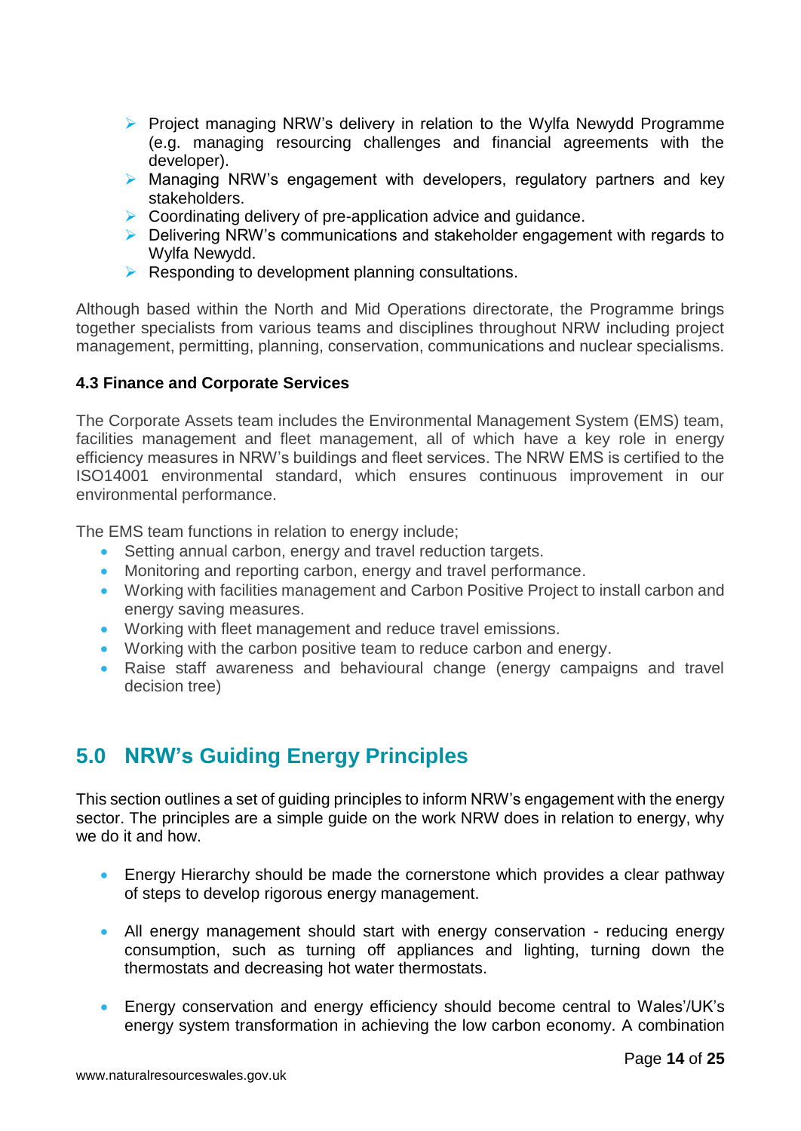- ➢ Project managing NRW's delivery in relation to the Wylfa Newydd Programme (e.g. managing resourcing challenges and financial agreements with the developer).
- ➢ Managing NRW's engagement with developers, regulatory partners and key stakeholders.
- ➢ Coordinating delivery of pre-application advice and guidance.
- ➢ Delivering NRW's communications and stakeholder engagement with regards to Wylfa Newydd.
- $\triangleright$  Responding to development planning consultations.

Although based within the North and Mid Operations directorate, the Programme brings together specialists from various teams and disciplines throughout NRW including project management, permitting, planning, conservation, communications and nuclear specialisms.

#### <span id="page-14-0"></span>**4.3 Finance and Corporate Services**

The Corporate Assets team includes the Environmental Management System (EMS) team, facilities management and fleet management, all of which have a key role in energy efficiency measures in NRW's buildings and fleet services. The NRW EMS is certified to the ISO14001 environmental standard, which ensures continuous improvement in our environmental performance.

The EMS team functions in relation to energy include;

- Setting annual carbon, energy and travel reduction targets.
- Monitoring and reporting carbon, energy and travel performance.
- Working with facilities management and Carbon Positive Project to install carbon and energy saving measures.
- Working with fleet management and reduce travel emissions.
- Working with the carbon positive team to reduce carbon and energy.
- Raise staff awareness and behavioural change (energy campaigns and travel decision tree)

# <span id="page-14-1"></span>**5.0 NRW's Guiding Energy Principles**

This section outlines a set of guiding principles to inform NRW's engagement with the energy sector. The principles are a simple guide on the work NRW does in relation to energy, why we do it and how.

- Energy Hierarchy should be made the cornerstone which provides a clear pathway of steps to develop rigorous energy management.
- All energy management should start with energy conservation reducing energy consumption, such as turning off appliances and lighting, turning down the thermostats and decreasing hot water thermostats.
- Energy conservation and energy efficiency should become central to Wales'/UK's energy system transformation in achieving the low carbon economy. A combination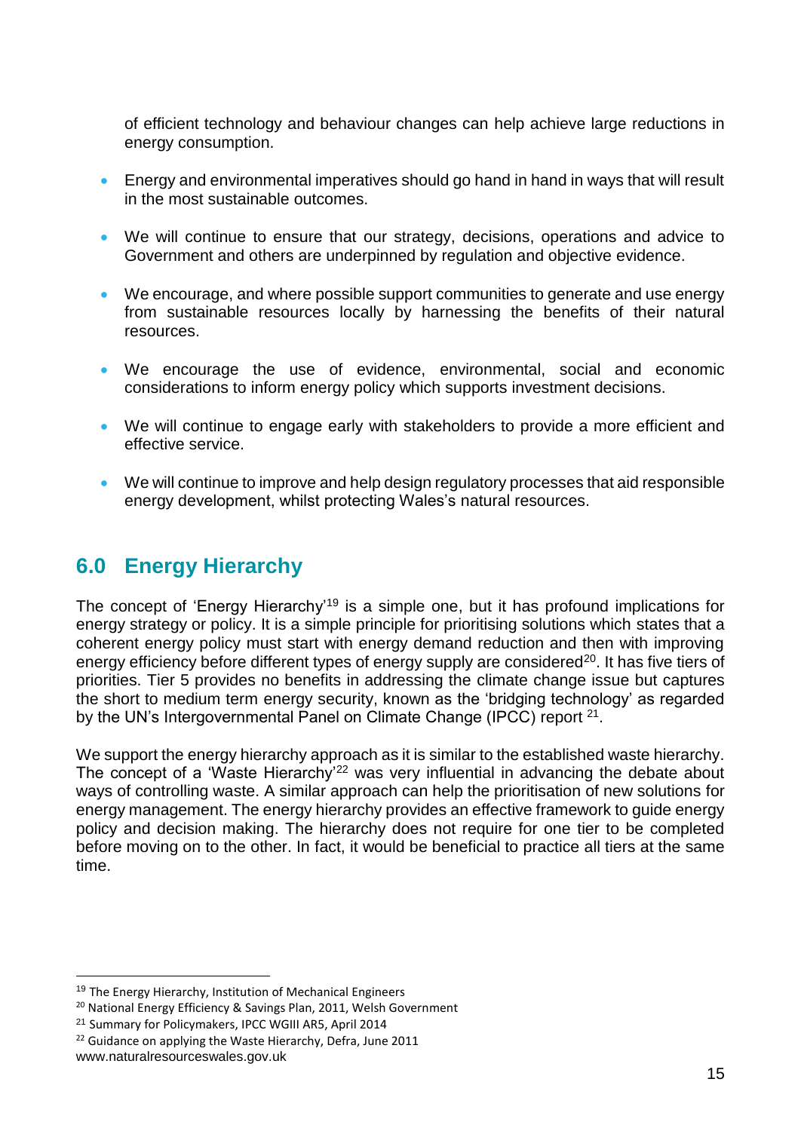of efficient technology and behaviour changes can help achieve large reductions in energy consumption.

- Energy and environmental imperatives should go hand in hand in ways that will result in the most sustainable outcomes.
- We will continue to ensure that our strategy, decisions, operations and advice to Government and others are underpinned by regulation and objective evidence.
- We encourage, and where possible support communities to generate and use energy from sustainable resources locally by harnessing the benefits of their natural resources.
- We encourage the use of evidence, environmental, social and economic considerations to inform energy policy which supports investment decisions.
- We will continue to engage early with stakeholders to provide a more efficient and effective service.
- We will continue to improve and help design regulatory processes that aid responsible energy development, whilst protecting Wales's natural resources.

# <span id="page-15-0"></span>**6.0 Energy Hierarchy**

The concept of 'Energy Hierarchy'<sup>19</sup> is a simple one, but it has profound implications for energy strategy or policy. It is a simple principle for prioritising solutions which states that a coherent energy policy must start with energy demand reduction and then with improving energy efficiency before different types of energy supply are considered<sup>20</sup>. It has five tiers of priorities. Tier 5 provides no benefits in addressing the climate change issue but captures the short to medium term energy security, known as the 'bridging technology' as regarded by the UN's Intergovernmental Panel on Climate Change (IPCC) report <sup>21</sup>.

We support the energy hierarchy approach as it is similar to the established waste hierarchy. The concept of a 'Waste Hierarchy'<sup>22</sup> was very influential in advancing the debate about ways of controlling waste. A similar approach can help the prioritisation of new solutions for energy management. The energy hierarchy provides an effective framework to guide energy policy and decision making. The hierarchy does not require for one tier to be completed before moving on to the other. In fact, it would be beneficial to practice all tiers at the same time.

<u>.</u>

<sup>&</sup>lt;sup>19</sup> The Energy Hierarchy, Institution of Mechanical Engineers

<sup>&</sup>lt;sup>20</sup> National Energy Efficiency & Savings Plan, 2011, Welsh Government

<sup>21</sup> Summary for Policymakers, IPCC WGIII AR5, April 2014

<sup>&</sup>lt;sup>22</sup> Guidance on applying the Waste Hierarchy, Defra, June 2011

www.naturalresourceswales.gov.uk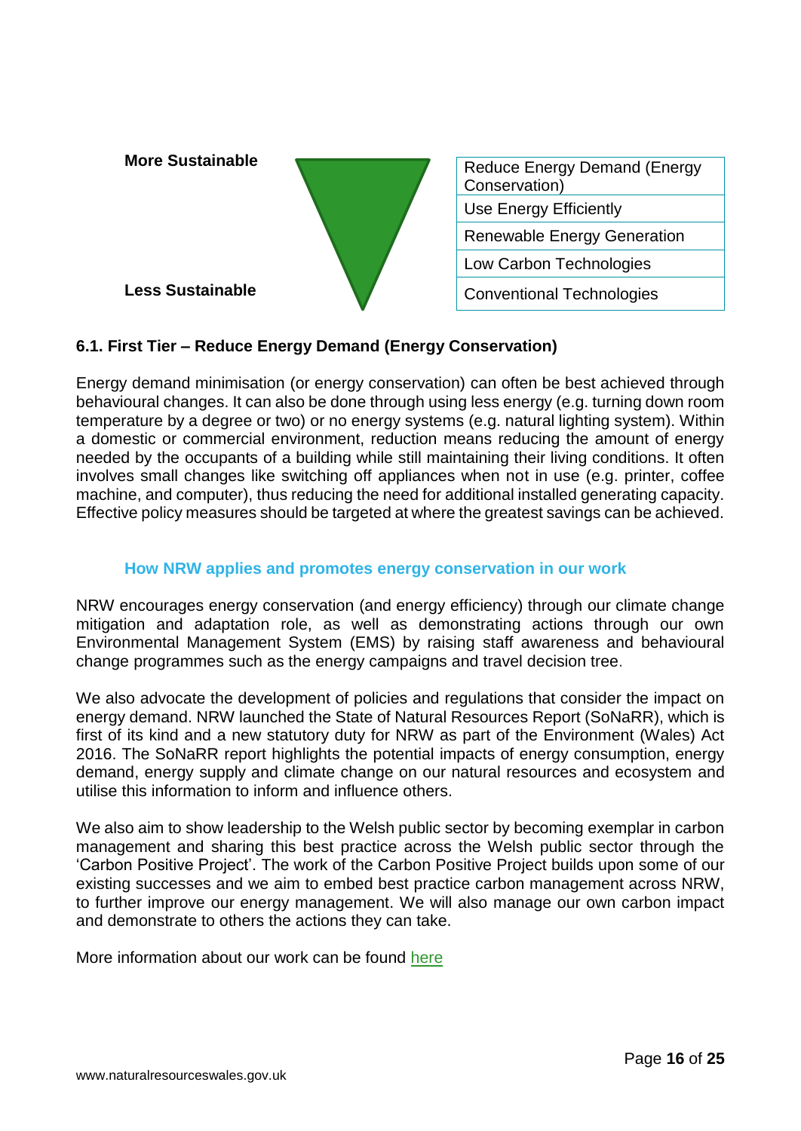

# <span id="page-16-0"></span>**6.1. First Tier – Reduce Energy Demand (Energy Conservation)**

Energy demand minimisation (or energy conservation) can often be best achieved through behavioural changes. It can also be done through using less energy (e.g. turning down room temperature by a degree or two) or no energy systems (e.g. natural lighting system). Within a domestic or commercial environment, reduction means reducing the amount of energy needed by the occupants of a building while still maintaining their living conditions. It often involves small changes like switching off appliances when not in use (e.g. printer, coffee machine, and computer), thus reducing the need for additional installed generating capacity. Effective policy measures should be targeted at where the greatest savings can be achieved.

#### **How NRW applies and promotes energy conservation in our work**

<span id="page-16-1"></span>NRW encourages energy conservation (and energy efficiency) through our climate change mitigation and adaptation role, as well as demonstrating actions through our own Environmental Management System (EMS) by raising staff awareness and behavioural change programmes such as the energy campaigns and travel decision tree.

We also advocate the development of policies and regulations that consider the impact on energy demand. NRW launched the State of Natural Resources Report (SoNaRR), which is first of its kind and a new statutory duty for NRW as part of the Environment (Wales) Act 2016. The SoNaRR report highlights the potential impacts of energy consumption, energy demand, energy supply and climate change on our natural resources and ecosystem and utilise this information to inform and influence others.

We also aim to show leadership to the Welsh public sector by becoming exemplar in carbon management and sharing this best practice across the Welsh public sector through the 'Carbon Positive Project'. The work of the Carbon Positive Project builds upon some of our existing successes and we aim to embed best practice carbon management across NRW, to further improve our energy management. We will also manage our own carbon impact and demonstrate to others the actions they can take.

More information about our work can be found [here](https://naturalresources.wales/about-us/corporate-information/carbon-positive-project/?lang=en)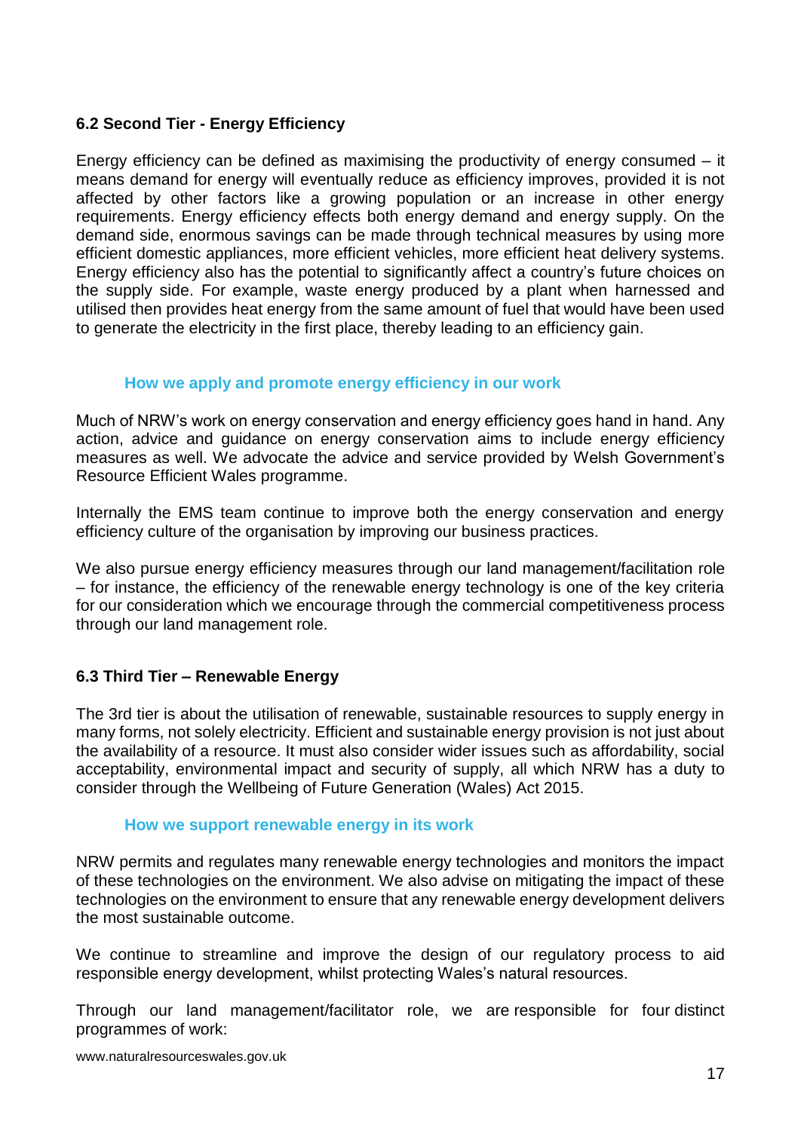## <span id="page-17-0"></span>**6.2 Second Tier - Energy Efficiency**

Energy efficiency can be defined as maximising the productivity of energy consumed – it means demand for energy will eventually reduce as efficiency improves, provided it is not affected by other factors like a growing population or an increase in other energy requirements. Energy efficiency effects both energy demand and energy supply. On the demand side, enormous savings can be made through technical measures by using more efficient domestic appliances, more efficient vehicles, more efficient heat delivery systems. Energy efficiency also has the potential to significantly affect a country's future choices on the supply side. For example, waste energy produced by a plant when harnessed and utilised then provides heat energy from the same amount of fuel that would have been used to generate the electricity in the first place, thereby leading to an efficiency gain.

#### **How we apply and promote energy efficiency in our work**

<span id="page-17-1"></span>Much of NRW's work on energy conservation and energy efficiency goes hand in hand. Any action, advice and guidance on energy conservation aims to include energy efficiency measures as well. We advocate the advice and service provided by Welsh Government's Resource Efficient Wales programme.

Internally the EMS team continue to improve both the energy conservation and energy efficiency culture of the organisation by improving our business practices.

We also pursue energy efficiency measures through our land management/facilitation role – for instance, the efficiency of the renewable energy technology is one of the key criteria for our consideration which we encourage through the commercial competitiveness process through our land management role.

# <span id="page-17-2"></span>**6.3 Third Tier – Renewable Energy**

The 3rd tier is about the utilisation of renewable, sustainable resources to supply energy in many forms, not solely electricity. Efficient and sustainable energy provision is not just about the availability of a resource. It must also consider wider issues such as affordability, social acceptability, environmental impact and security of supply, all which NRW has a duty to consider through the Wellbeing of Future Generation (Wales) Act 2015.

#### **How we support renewable energy in its work**

<span id="page-17-3"></span>NRW permits and regulates many renewable energy technologies and monitors the impact of these technologies on the environment. We also advise on mitigating the impact of these technologies on the environment to ensure that any renewable energy development delivers the most sustainable outcome.

We continue to streamline and improve the design of our regulatory process to aid responsible energy development, whilst protecting Wales's natural resources.

Through our land management/facilitator role, we are responsible for four distinct programmes of work: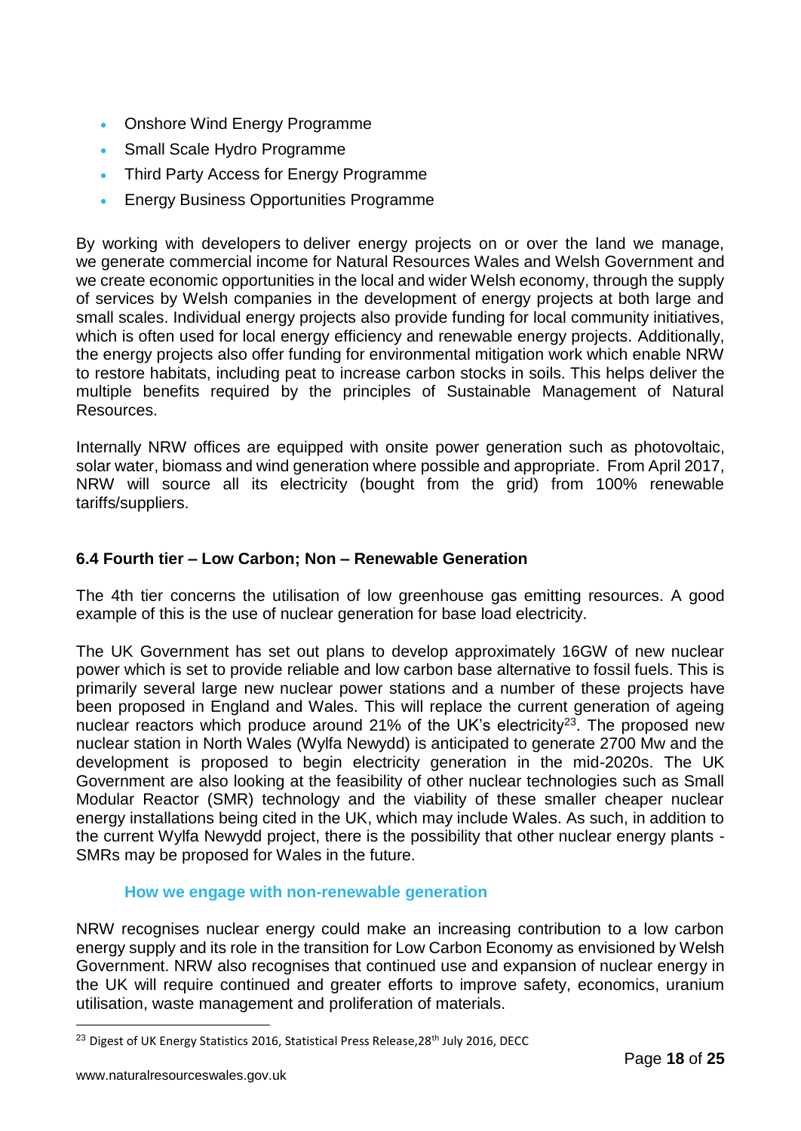- Onshore Wind Energy Programme
- Small Scale Hydro Programme
- Third Party Access for Energy Programme
- Energy Business Opportunities Programme

By working with developers to deliver energy projects on or over the land we manage, we generate commercial income for Natural Resources Wales and Welsh Government and we create economic opportunities in the local and wider Welsh economy, through the supply of services by Welsh companies in the development of energy projects at both large and small scales. Individual energy projects also provide funding for local community initiatives, which is often used for local energy efficiency and renewable energy projects. Additionally, the energy projects also offer funding for environmental mitigation work which enable NRW to restore habitats, including peat to increase carbon stocks in soils. This helps deliver the multiple benefits required by the principles of Sustainable Management of Natural Resources.

Internally NRW offices are equipped with onsite power generation such as photovoltaic, solar water, biomass and wind generation where possible and appropriate. From April 2017, NRW will source all its electricity (bought from the grid) from 100% renewable tariffs/suppliers.

#### <span id="page-18-0"></span>**6.4 Fourth tier – Low Carbon; Non – Renewable Generation**

The 4th tier concerns the utilisation of low greenhouse gas emitting resources. A good example of this is the use of nuclear generation for base load electricity.

The UK Government has set out plans to develop approximately 16GW of new nuclear power which is set to provide reliable and low carbon base alternative to fossil fuels. This is primarily several large new nuclear power stations and a number of these projects have been proposed in England and Wales. This will replace the current generation of ageing nuclear reactors which produce around 21% of the UK's electricity<sup>23</sup>. The proposed new nuclear station in North Wales (Wylfa Newydd) is anticipated to generate 2700 Mw and the development is proposed to begin electricity generation in the mid-2020s. The UK Government are also looking at the feasibility of other nuclear technologies such as Small Modular Reactor (SMR) technology and the viability of these smaller cheaper nuclear energy installations being cited in the UK, which may include Wales. As such, in addition to the current Wylfa Newydd project, there is the possibility that other nuclear energy plants - SMRs may be proposed for Wales in the future.

#### **How we engage with non-renewable generation**

<span id="page-18-1"></span>NRW recognises nuclear energy could make an increasing contribution to a low carbon energy supply and its role in the transition for Low Carbon Economy as envisioned by Welsh Government. NRW also recognises that continued use and expansion of nuclear energy in the UK will require continued and greater efforts to improve safety, economics, uranium utilisation, waste management and proliferation of materials.

<sup>&</sup>lt;sup>23</sup> Digest of UK Energy Statistics 2016, Statistical Press Release, 28<sup>th</sup> July 2016, DECC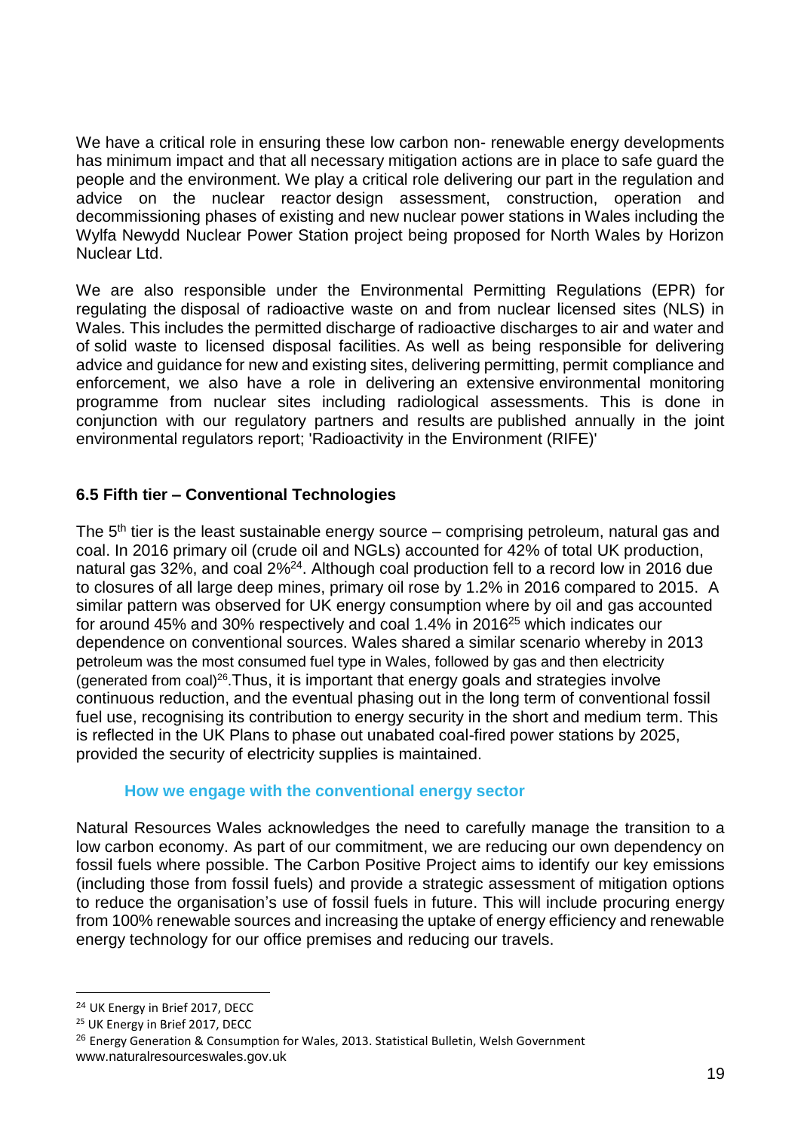We have a critical role in ensuring these low carbon non- renewable energy developments has minimum impact and that all necessary mitigation actions are in place to safe guard the people and the environment. We play a critical role delivering our part in the regulation and advice on the nuclear reactor design assessment, construction, operation and decommissioning phases of existing and new nuclear power stations in Wales including the Wylfa Newydd Nuclear Power Station project being proposed for North Wales by Horizon Nuclear Ltd.

We are also responsible under the Environmental Permitting Regulations (EPR) for regulating the disposal of radioactive waste on and from nuclear licensed sites (NLS) in Wales. This includes the permitted discharge of radioactive discharges to air and water and of solid waste to licensed disposal facilities. As well as being responsible for delivering advice and guidance for new and existing sites, delivering permitting, permit compliance and enforcement, we also have a role in delivering an extensive environmental monitoring programme from nuclear sites including radiological assessments. This is done in conjunction with our regulatory partners and results are published annually in the joint environmental regulators report; 'Radioactivity in the Environment (RIFE)'

# <span id="page-19-0"></span>**6.5 Fifth tier – Conventional Technologies**

The 5<sup>th</sup> tier is the least sustainable energy source – comprising petroleum, natural gas and coal. In 2016 primary oil (crude oil and NGLs) accounted for 42% of total UK production, natural gas 32%, and coal 2%<sup>24</sup>. Although coal production fell to a record low in 2016 due to closures of all large deep mines, primary oil rose by 1.2% in 2016 compared to 2015. A similar pattern was observed for UK energy consumption where by oil and gas accounted for around 45% and 30% respectively and coal 1.4% in 2016<sup>25</sup> which indicates our dependence on conventional sources. Wales shared a similar scenario whereby in 2013 petroleum was the most consumed fuel type in Wales, followed by gas and then electricity (generated from coal)<sup>26</sup>. Thus, it is important that energy goals and strategies involve continuous reduction, and the eventual phasing out in the long term of conventional fossil fuel use, recognising its contribution to energy security in the short and medium term. This is reflected in the UK Plans to phase out unabated coal-fired power stations by 2025, provided the security of electricity supplies is maintained.

#### **How we engage with the conventional energy sector**

<span id="page-19-1"></span>Natural Resources Wales acknowledges the need to carefully manage the transition to a low carbon economy. As part of our commitment, we are reducing our own dependency on fossil fuels where possible. The Carbon Positive Project aims to identify our key emissions (including those from fossil fuels) and provide a strategic assessment of mitigation options to reduce the organisation's use of fossil fuels in future. This will include procuring energy from 100% renewable sources and increasing the uptake of energy efficiency and renewable energy technology for our office premises and reducing our travels.

<sup>24</sup> UK Energy in Brief 2017, DECC

<sup>&</sup>lt;sup>25</sup> UK Energy in Brief 2017, DECC

www.naturalresourceswales.gov.uk <sup>26</sup> Energy Generation & Consumption for Wales, 2013. Statistical Bulletin, Welsh Government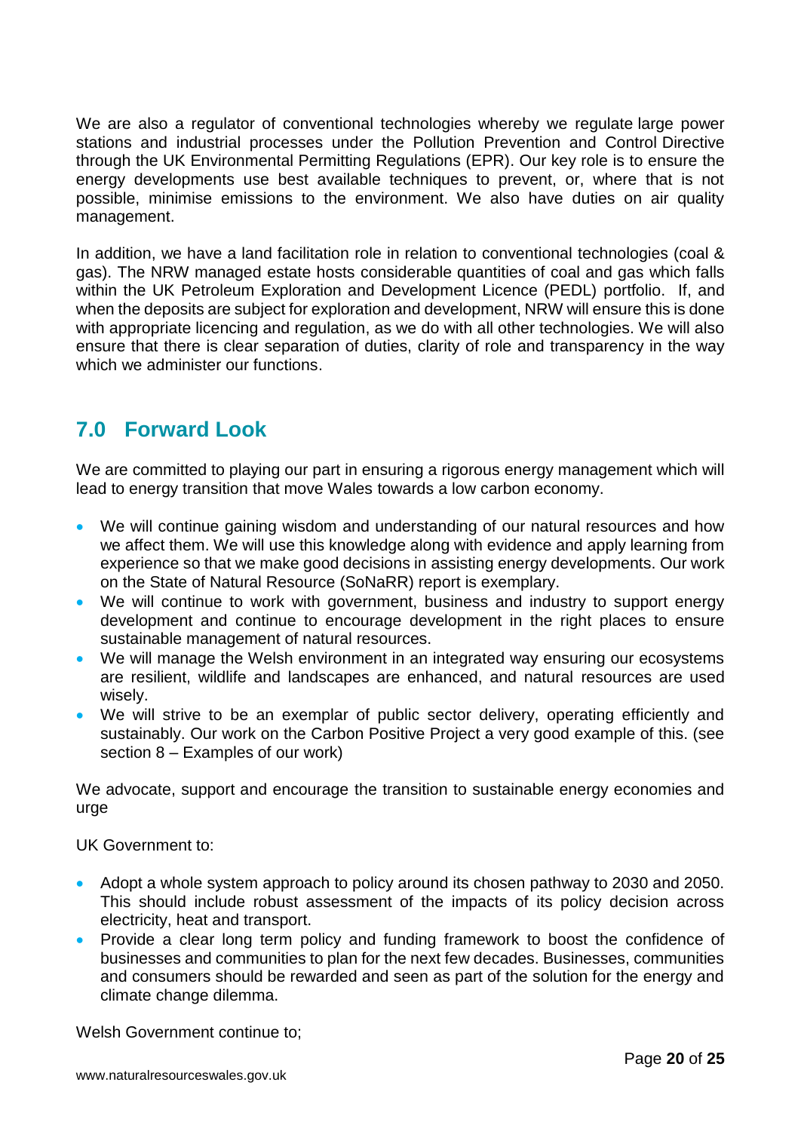We are also a regulator of conventional technologies whereby we regulate large power stations and industrial processes under the Pollution Prevention and Control Directive through the UK Environmental Permitting Regulations (EPR). Our key role is to ensure the energy developments use best available techniques to prevent, or, where that is not possible, minimise emissions to the environment. We also have duties on air quality management.

In addition, we have a land facilitation role in relation to conventional technologies (coal & gas). The NRW managed estate hosts considerable quantities of coal and gas which falls within the UK Petroleum Exploration and Development Licence (PEDL) portfolio. If, and when the deposits are subject for exploration and development, NRW will ensure this is done with appropriate licencing and regulation, as we do with all other technologies. We will also ensure that there is clear separation of duties, clarity of role and transparency in the way which we administer our functions.

# <span id="page-20-0"></span>**7.0 Forward Look**

We are committed to playing our part in ensuring a rigorous energy management which will lead to energy transition that move Wales towards a low carbon economy.

- We will continue gaining wisdom and understanding of our natural resources and how we affect them. We will use this knowledge along with evidence and apply learning from experience so that we make good decisions in assisting energy developments. Our work on the State of Natural Resource (SoNaRR) report is exemplary.
- We will continue to work with government, business and industry to support energy development and continue to encourage development in the right places to ensure sustainable management of natural resources.
- We will manage the Welsh environment in an integrated way ensuring our ecosystems are resilient, wildlife and landscapes are enhanced, and natural resources are used wisely.
- We will strive to be an exemplar of public sector delivery, operating efficiently and sustainably. Our work on the Carbon Positive Project a very good example of this. (see section 8 – Examples of our work)

We advocate, support and encourage the transition to sustainable energy economies and urge

UK Government to:

- Adopt a whole system approach to policy around its chosen pathway to 2030 and 2050. This should include robust assessment of the impacts of its policy decision across electricity, heat and transport.
- Provide a clear long term policy and funding framework to boost the confidence of businesses and communities to plan for the next few decades. Businesses, communities and consumers should be rewarded and seen as part of the solution for the energy and climate change dilemma.

Welsh Government continue to;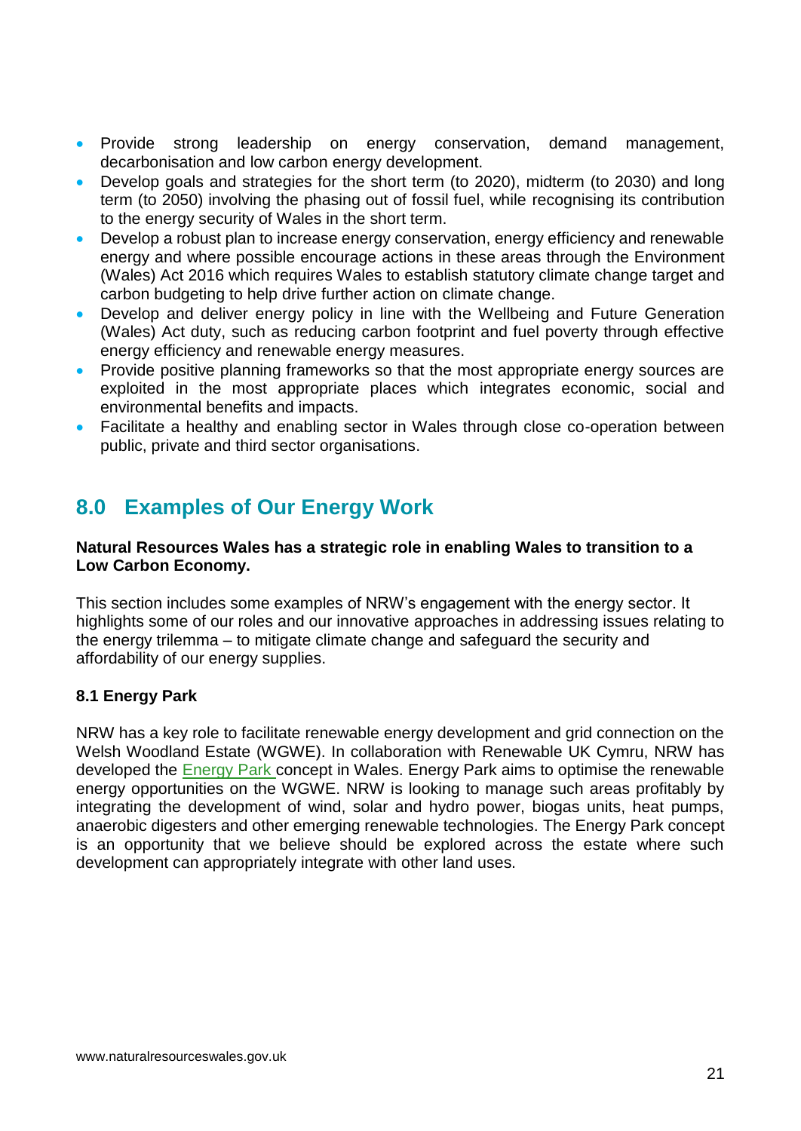- Provide strong leadership on energy conservation, demand management, decarbonisation and low carbon energy development.
- Develop goals and strategies for the short term (to 2020), midterm (to 2030) and long term (to 2050) involving the phasing out of fossil fuel, while recognising its contribution to the energy security of Wales in the short term.
- Develop a robust plan to increase energy conservation, energy efficiency and renewable energy and where possible encourage actions in these areas through the Environment (Wales) Act 2016 which requires Wales to establish statutory climate change target and carbon budgeting to help drive further action on climate change.
- Develop and deliver energy policy in line with the Wellbeing and Future Generation (Wales) Act duty, such as reducing carbon footprint and fuel poverty through effective energy efficiency and renewable energy measures.
- Provide positive planning frameworks so that the most appropriate energy sources are exploited in the most appropriate places which integrates economic, social and environmental benefits and impacts.
- Facilitate a healthy and enabling sector in Wales through close co-operation between public, private and third sector organisations.

# <span id="page-21-0"></span>**8.0 Examples of Our Energy Work**

#### **Natural Resources Wales has a strategic role in enabling Wales to transition to a Low Carbon Economy.**

This section includes some examples of NRW's engagement with the energy sector. It highlights some of our roles and our innovative approaches in addressing issues relating to the energy trilemma – to mitigate climate change and safeguard the security and affordability of our energy supplies.

# <span id="page-21-1"></span>**8.1 Energy Park**

NRW has a key role to facilitate renewable energy development and grid connection on the Welsh Woodland Estate (WGWE). In collaboration with Renewable UK Cymru, NRW has developed the [Energy Park](https://www.youtube.com/watch?v=z3YSERDI0B0&feature=youtu.be) concept in Wales. Energy Park aims to optimise the renewable energy opportunities on the WGWE. NRW is looking to manage such areas profitably by integrating the development of wind, solar and hydro power, biogas units, heat pumps, anaerobic digesters and other emerging renewable technologies. [The Energy Park c](https://www.youtube.com/watch?v=z3YSERDI0B0#t=15)oncept is an opportunity that we believe should be explored across the estate where such development can appropriately integrate with other land uses.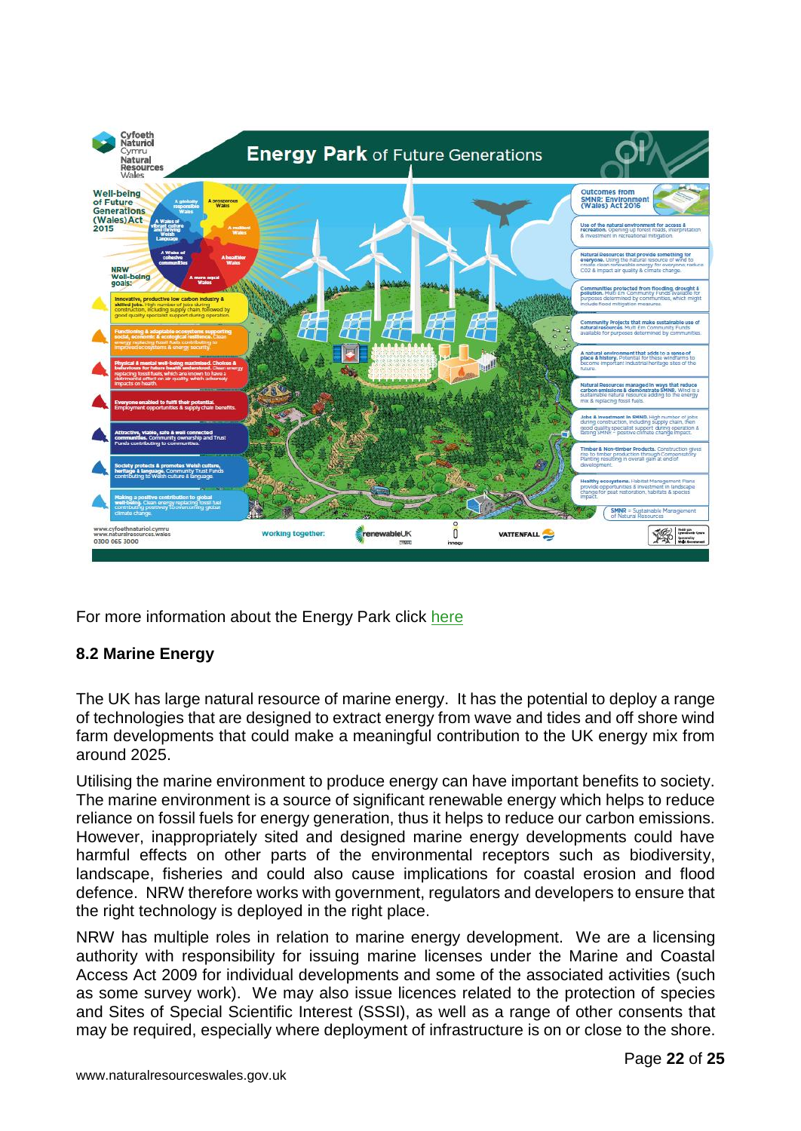

For more information about the Energy Park click [here](https://naturalresources.wales/guidance-and-advice/environmental-topics/energy/?lang=en)

# <span id="page-22-0"></span>**8.2 Marine Energy**

The UK has large natural resource of marine energy. It has the potential to deploy a range of technologies that are designed to extract energy from wave and tides and off shore wind farm developments that could make a meaningful contribution to the UK energy mix from around 2025.

Utilising the marine environment to produce energy can have important benefits to society. The marine environment is a source of significant renewable energy which helps to reduce reliance on fossil fuels for energy generation, thus it helps to reduce our carbon emissions. However, inappropriately sited and designed marine energy developments could have harmful effects on other parts of the environmental receptors such as biodiversity, landscape, fisheries and could also cause implications for coastal erosion and flood defence. NRW therefore works with government, regulators and developers to ensure that the right technology is deployed in the right place.

NRW has multiple roles in relation to marine energy development. We are a licensing authority with responsibility for issuing marine licenses under the Marine and Coastal Access Act 2009 for individual developments and some of the associated activities (such as some survey work). We may also issue licences related to the protection of species and Sites of Special Scientific Interest (SSSI), as well as a range of other consents that may be required, especially where deployment of infrastructure is on or close to the shore.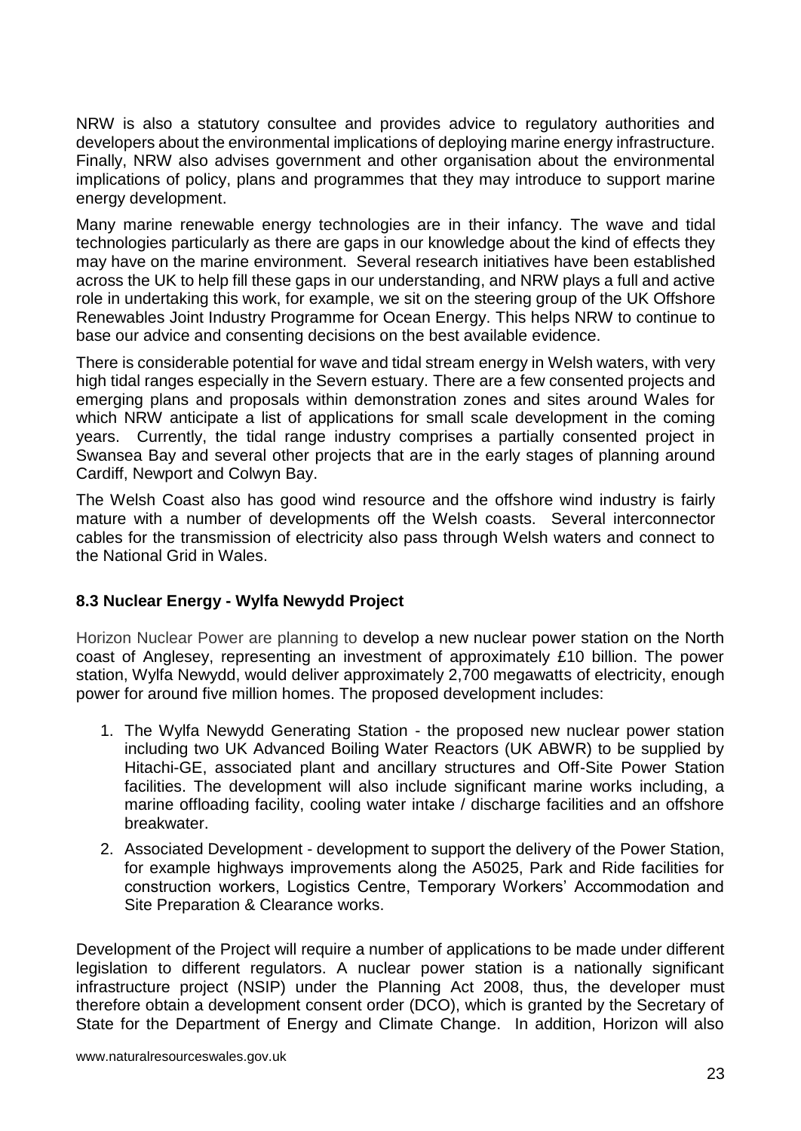NRW is also a statutory consultee and provides advice to regulatory authorities and developers about the environmental implications of deploying marine energy infrastructure. Finally, NRW also advises government and other organisation about the environmental implications of policy, plans and programmes that they may introduce to support marine energy development.

Many marine renewable energy technologies are in their infancy. The wave and tidal technologies particularly as there are gaps in our knowledge about the kind of effects they may have on the marine environment. Several research initiatives have been established across the UK to help fill these gaps in our understanding, and NRW plays a full and active role in undertaking this work, for example, we sit on the steering group of the UK Offshore Renewables Joint Industry Programme for Ocean Energy. This helps NRW to continue to base our advice and consenting decisions on the best available evidence.

There is considerable potential for wave and tidal stream energy in Welsh waters, with very high tidal ranges especially in the Severn estuary. There are a few consented projects and emerging plans and proposals within demonstration zones and sites around Wales for which NRW anticipate a list of applications for small scale development in the coming years. Currently, the tidal range industry comprises a partially consented project in Swansea Bay and several other projects that are in the early stages of planning around Cardiff, Newport and Colwyn Bay.

The Welsh Coast also has good wind resource and the offshore wind industry is fairly mature with a number of developments off the Welsh coasts. Several interconnector cables for the transmission of electricity also pass through Welsh waters and connect to the National Grid in Wales.

# <span id="page-23-0"></span>**8.3 Nuclear Energy - Wylfa Newydd Project**

Horizon Nuclear Power are planning to develop a new nuclear power station on the North coast of Anglesey, representing an investment of approximately £10 billion. The power station, Wylfa Newydd, would deliver approximately 2,700 megawatts of electricity, enough power for around five million homes. The proposed development includes:

- 1. The Wylfa Newydd Generating Station the proposed new nuclear power station including two UK Advanced Boiling Water Reactors (UK ABWR) to be supplied by Hitachi-GE, associated plant and ancillary structures and Off-Site Power Station facilities. The development will also include significant marine works including, a marine offloading facility, cooling water intake / discharge facilities and an offshore breakwater.
- 2. Associated Development development to support the delivery of the Power Station, for example highways improvements along the A5025, Park and Ride facilities for construction workers, Logistics Centre, Temporary Workers' Accommodation and Site Preparation & Clearance works.

Development of the Project will require a number of applications to be made under different legislation to different regulators. A nuclear power station is a nationally significant infrastructure project (NSIP) under the Planning Act 2008, thus, the developer must therefore obtain a development consent order (DCO), which is granted by the Secretary of State for the Department of Energy and Climate Change. In addition, Horizon will also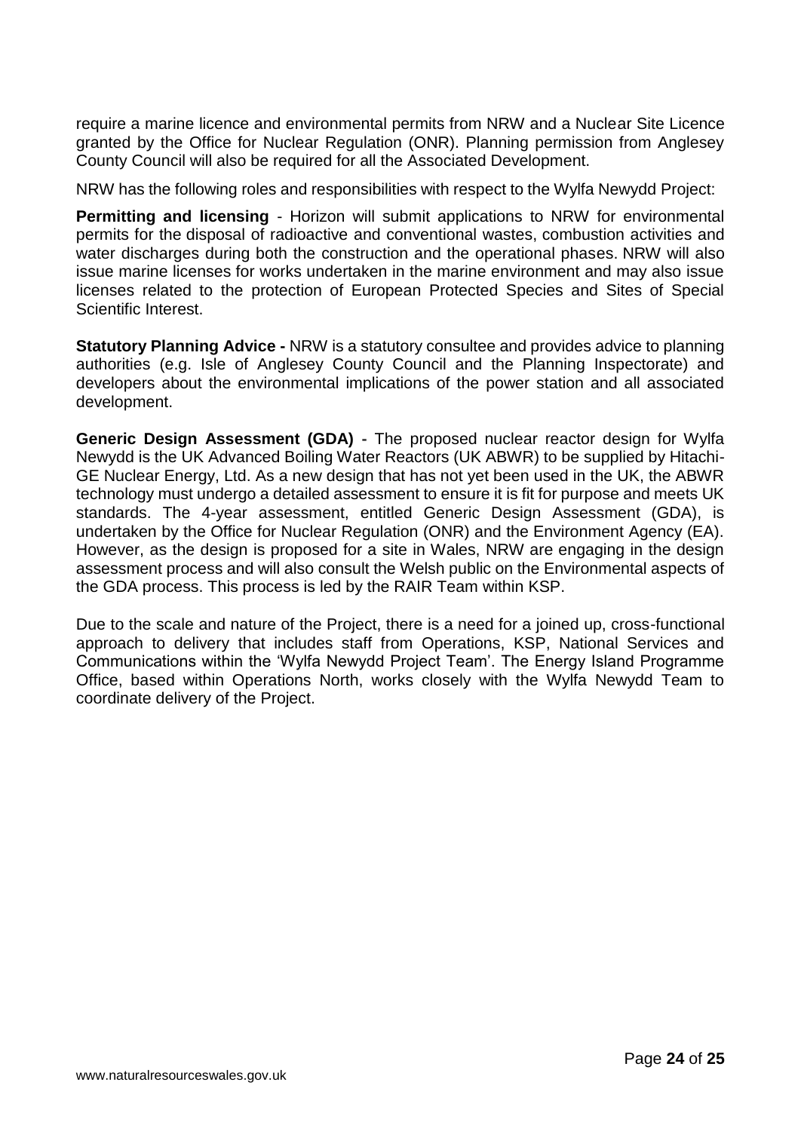require a marine licence and environmental permits from NRW and a Nuclear Site Licence granted by the Office for Nuclear Regulation (ONR). Planning permission from Anglesey County Council will also be required for all the Associated Development.

NRW has the following roles and responsibilities with respect to the Wylfa Newydd Project:

**Permitting and licensing** - Horizon will submit applications to NRW for environmental permits for the disposal of radioactive and conventional wastes, combustion activities and water discharges during both the construction and the operational phases. NRW will also issue marine licenses for works undertaken in the marine environment and may also issue licenses related to the protection of European Protected Species and Sites of Special Scientific Interest.

**Statutory Planning Advice -** NRW is a statutory consultee and provides advice to planning authorities (e.g. Isle of Anglesey County Council and the Planning Inspectorate) and developers about the environmental implications of the power station and all associated development.

**Generic Design Assessment (GDA) -** The proposed nuclear reactor design for Wylfa Newydd is the UK Advanced Boiling Water Reactors (UK ABWR) to be supplied by Hitachi-GE Nuclear Energy, Ltd. As a new design that has not yet been used in the UK, the ABWR technology must undergo a detailed assessment to ensure it is fit for purpose and meets UK standards. The 4-year assessment, entitled Generic Design Assessment (GDA), is undertaken by the Office for Nuclear Regulation (ONR) and the Environment Agency (EA). However, as the design is proposed for a site in Wales, NRW are engaging in the design assessment process and will also consult the Welsh public on the Environmental aspects of the GDA process. This process is led by the RAIR Team within KSP.

Due to the scale and nature of the Project, there is a need for a joined up, cross-functional approach to delivery that includes staff from Operations, KSP, National Services and Communications within the 'Wylfa Newydd Project Team'. The Energy Island Programme Office, based within Operations North, works closely with the Wylfa Newydd Team to coordinate delivery of the Project.